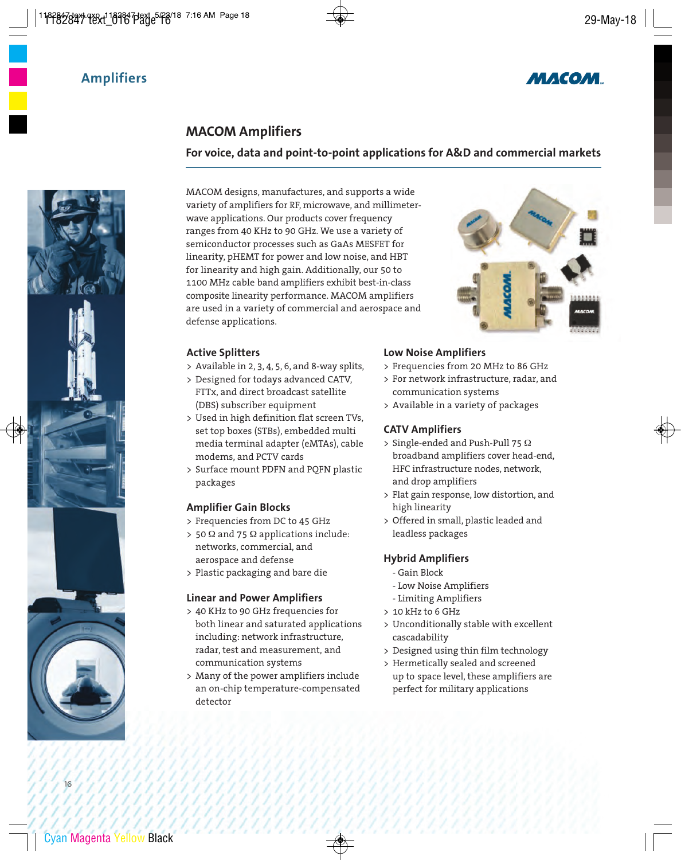



## **MACOM Amplifiers**

#### **For voice, data and point-to-point applications for A&D and commercial markets**

MACOM designs, manufactures, and supports a wide variety of amplifiers for RF, microwave, and millimeterwave applications. Our products cover frequency ranges from 40 KHz to 90 GHz. We use a variety of semiconductor processes such as GaAs MESFET for linearity, pHEMT for power and low noise, and HBT for linearity and high gain. Additionally, our 50 to 1100 MHz cable band amplifiers exhibit best-in-class composite linearity performance. MACOM amplifiers are used in a variety of commercial and aerospace and defense applications.

#### **Active Splitters**

- > Available in 2, 3, 4, 5, 6, and 8-way splits,
- > Designed for todays advanced CATV, FTTx, and direct broadcast satellite (DBS) subscriber equipment
- > Used in high definition flat screen TVs, set top boxes (STBs), embedded multi media terminal adapter (eMTAs), cable modems, and PCTV cards
- > Surface mount PDFN and PQFN plastic packages

#### **Amplifier Gain Blocks**

- > Frequencies from DC to 45 GHz
- > 50  $\Omega$  and 75  $\Omega$  applications include: networks, commercial, and aerospace and defense
- > Plastic packaging and bare die

#### **Linear and Power Amplifiers**

- > 40 KHz to 90 GHz frequencies for both linear and saturated applications including: network infrastructure, radar, test and measurement, and communication systems
- > Many of the power amplifiers include an on-chip temperature-compensated detector

#### **Low Noise Amplifiers**

- > Frequencies from 20 MHz to 86 GHz
- > For network infrastructure, radar, and communication systems
- > Available in a variety of packages

#### **CATV Amplifiers**

- > Single-ended and Push-Pull 75 Ω broadband amplifiers cover head-end, HFC infrastructure nodes, network, and drop amplifiers
- > Flat gain response, low distortion, and high linearity
- > Offered in small, plastic leaded and leadless packages

#### **Hybrid Amplifiers**

- Gain Block
- Low Noise Amplifiers
- Limiting Amplifiers
- > 10 kHz to 6 GHz
- > Unconditionally stable with excellent cascadability
- > Designed using thin film technology
- > Hermetically sealed and screened up to space level, these amplifiers are perfect for military applications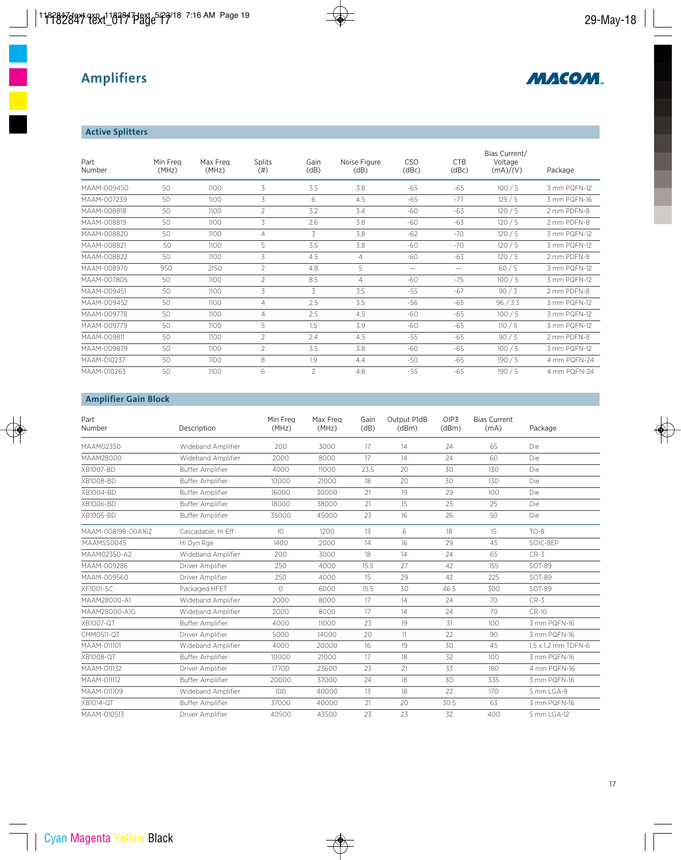

### **Active Splitters**

| Part<br>Number | Min Frea<br>(MHz) | Max Freg<br>(MHz) | <b>Splits</b><br>(# ) | Gain<br>(dB)   | Noise Figure<br>(dB) | C <sub>SO</sub><br>(dBc) | <b>CTB</b><br>(dBc) | Bias Current/<br>Voltage<br>(mA)/(V) | Package      |
|----------------|-------------------|-------------------|-----------------------|----------------|----------------------|--------------------------|---------------------|--------------------------------------|--------------|
| MAAM-009450    | 50                | 1100              | 3                     | 3.5            | 3.8                  | $-65$                    | $-65$               | 100/5                                | 3 mm PQFN-12 |
| MAAM-007239    | 50                | 1100              | 3                     | 6              | 4.5                  | $-65$                    | $-77$               | 125/5                                | 3 mm PQFN-16 |
| MAAM-008818    | 50                | 1100              | $\overline{2}$        | 3.2            | 3.4                  | $-60$                    | $-63$               | 120/5                                | 2 mm PDFN-8  |
| MAAM-008819    | 50                | 1100              | 3                     | 2.6            | 3.8                  | $-60$                    | $-63$               | 120/5                                | 2 mm PDFN-8  |
| MAAM-008820    | 50                | 1100              | $\overline{4}$        | 3              | 3.8                  | -62                      | $-70$               | 120/5                                | 3 mm PQFN-12 |
| MAAM-008821    | 50                | 1100              | 5                     | 3.5            | 3.8                  | $-60$                    | $-70$               | 120/5                                | 3 mm PQFN-12 |
| MAAM-008822    | 50                | 1100              | 3                     | 4.5            | 4                    | $-60$                    | $-63$               | 120/5                                | 2 mm PDFN-8  |
| MAAM-008970    | 950               | 2150              | $\overline{2}$        | 4.8            | 5                    | $\qquad \qquad$          | -                   | 60/5                                 | 3 mm PQFN-12 |
| MAAM-007805    | 50                | 1100              | $\overline{2}$        | 8.5            | 4                    | $-60$                    | $-75$               | 100/5                                | 3 mm PQFN-12 |
| MAAM-009451    | 50                | 1100              | 3                     | 3              | 3.5                  | $-55$                    | $-67$               | 90/3                                 | 2 mm PDFN-8  |
| MAAM-009452    | 50                | 1100              | $\overline{4}$        | 2.5            | 3.5                  | $-56$                    | $-65$               | 96 / 3.3                             | 3 mm PQFN-12 |
| MAAM-009778    | 50                | 1100              | $\overline{4}$        | 2.5            | 4.5                  | $-60$                    | $-65$               | 100/5                                | 3 mm PQFN-12 |
| MAAM-009779    | 50                | 1100              | 5                     | 1.5            | 3.9                  | $-60$                    | $-65$               | 110/5                                | 3 mm PQFN-12 |
| MAAM-009811    | 50                | 1100              | 2                     | 2.4            | 4.5                  | $-55$                    | $-65$               | 90/3                                 | 2 mm PDFN-8  |
| MAAM-009879    | 50                | 1100              | $\overline{2}$        | 3.5            | 3.8                  | $-60$                    | $-65$               | 100/5                                | 3 mm PQFN-12 |
| MAAM-010237    | 50                | 1100              | 8                     | 1.9            | 4.4                  | $-50$                    | $-65$               | 190/5                                | 4 mm PQFN-24 |
| MAAM-010263    | 50                | 1100              | 6                     | $\mathfrak{D}$ | 4.8                  | $-55$                    | $-65$               | 190/5                                | 4 mm PQFN-24 |

## **Amplifier Gain Block**

| Part<br>Number     | Description             | Min Frea<br>(MHz) | Max Freg<br>(MHz) | Gain<br>(dB) | Output P1dB<br>(dBm) | OIP <sub>3</sub><br>(dBm) | <b>Bias Current</b><br>(mA) | Package             |
|--------------------|-------------------------|-------------------|-------------------|--------------|----------------------|---------------------------|-----------------------------|---------------------|
| MAAM02350          | Wideband Amplifier      | 200               | 3000              | 17           | 14                   | 24                        | 65                          | Die                 |
| MAAM28000          | Wideband Amplifier      | 2000              | 8000              | 17           | 14                   | 24                        | 60                          | Die                 |
| XB1007-BD          | <b>Buffer Amplifier</b> | 4000              | 11000             | 23.5         | 20                   | 30                        | 130                         | Die                 |
| XB1008-BD          | <b>Buffer Amplifier</b> | 10000             | 21000             | 18           | 20                   | 30                        | 130                         | Die                 |
| XB1004-BD          | <b>Buffer Amplifier</b> | 16000             | 30000             | 21           | 19                   | 29                        | 100                         | Die                 |
| XB1006-BD          | <b>Buffer Amplifier</b> | 18000             | 38000             | 21           | 15                   | 25                        | 25                          | Die                 |
| XB1005-BD          | <b>Buffer Amplifier</b> | 35000             | 45000             | 23           | 16                   | 26                        | 50                          | Die                 |
| MAAM-008198-00A162 | Cascadable, Hi Eff      | 10                | 1200              | 13           | 6                    | 18                        | 15                          | $TO-8$              |
| MAAMSS0045         | Hi Dyn Rge              | 1400              | 2000              | 14           | 16                   | 29                        | 45                          | SOIC-8EP            |
| MAAM02350-A2       | Wideband Amplifier      | 200               | 3000              | 18           | 14                   | 24                        | 65                          | $CR-3$              |
| MAAM-009286        | Driver Amplifier        | 250               | 4000              | 15.5         | 27                   | 42                        | 155                         | <b>SOT-89</b>       |
| MAAM-009560        | Driver Amplifier        | 250               | 4000              | 15           | 29                   | 42                        | 225                         | SOT-89              |
| XF1001-SC          | Packaged HFET           | $\bigcirc$        | 6000              | 15.5         | 30                   | 46.5                      | 300                         | <b>SOT-89</b>       |
| MAAM28000-A1       | Wideband Amplifier      | 2000              | 8000              | 17           | 14                   | 24                        | 70                          | $CR-3$              |
| MAAM28000-A1G      | Wideband Amplifier      | 2000              | 8000              | 17           | 14                   | 24                        | 70                          | $CR-10$             |
| XB1007-QT          | <b>Buffer Amplifier</b> | 4000              | 11000             | 23           | 19                   | 31                        | 100                         | 3 mm PQFN-16        |
| <b>CMM0511-QT</b>  | Driver Amplifier        | 5000              | 14000             | 20           | 11                   | 22                        | 90                          | 3 mm PQFN-16        |
| MAAM-011101        | Wideband Amplifier      | 4000              | 20000             | 16           | 19                   | 30                        | 45                          | 1.5 x 1.2 mm TDFN-6 |
| XB1008-QT          | <b>Buffer Amplifier</b> | 10000             | 21000             | 17           | 18                   | 32                        | 100                         | 3 mm PQFN-16        |
| MAAM-011132        | Driver Amplifier        | 17700             | 23600             | 23           | 21                   | 33                        | 180                         | 4 mm PQFN-16        |
| MAAM-011112        | <b>Buffer Amplifier</b> | 20000             | 37000             | 24           | 18                   | 30                        | 335                         | 3 mm PQFN-16        |
| MAAM-011109        | Wideband Amplifier      | 100               | 40000             | 13           | 18                   | 22                        | 170                         | 5 mm LGA-9          |
| XB1014-QT          | <b>Buffer Amplifier</b> | 37000             | 40000             | 21           | 20                   | 30.5                      | 63                          | 3 mm PQFN-16        |
| MAAM-010513        | Driver Amplifier        | 40500             | 43500             | 23           | 23                   | 32                        | 400                         | 5 mm LGA-12         |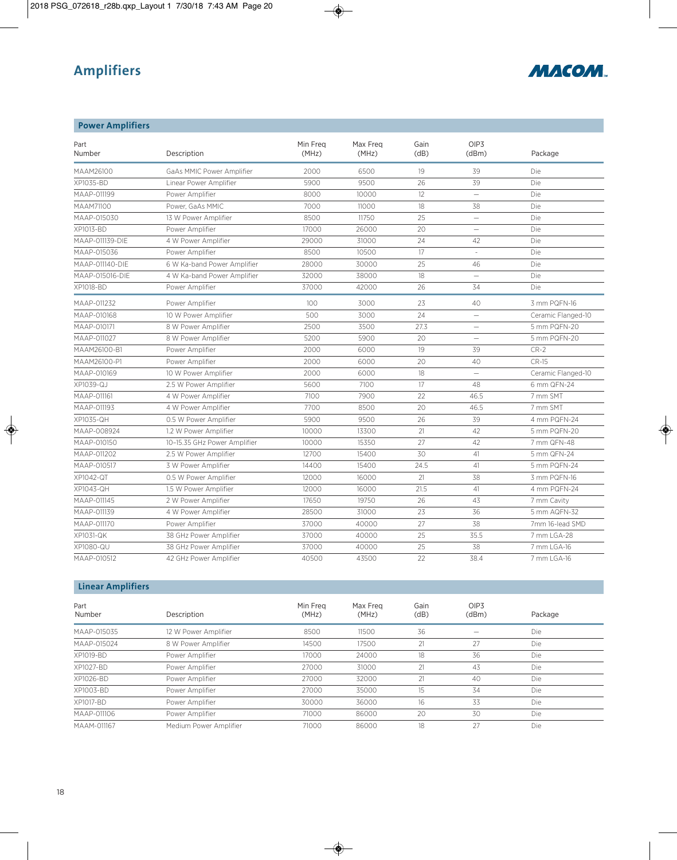

| <b>Power Amplifiers</b> |                              |                   |                   |              |                           |                    |
|-------------------------|------------------------------|-------------------|-------------------|--------------|---------------------------|--------------------|
| Part<br>Number          | Description                  | Min Frea<br>(MHz) | Max Freg<br>(MHz) | Gain<br>(dB) | OIP <sub>3</sub><br>(dBm) | Package            |
| MAAM26100               | GaAs MMIC Power Amplifier    | 2000              | 6500              | 19           | 39                        | Die                |
| XP1035-BD               | Linear Power Amplifier       | 5900              | 9500              | 26           | 39                        | Die                |
| MAAP-011199             | Power Amplifier              | 8000              | 10000             | 12           |                           | Die                |
| MAAM71100               | Power, GaAs MMIC             | 7000              | 11000             | 18           | 38                        | Die                |
| MAAP-015030             | 13 W Power Amplifier         | 8500              | 11750             | 25           | $=$                       | Die                |
| XP1013-BD               | Power Amplifier              | 17000             | 26000             | 20           | $\equiv$                  | Die                |
| MAAP-011139-DIE         | 4 W Power Amplifier          | 29000             | 31000             | 24           | 42                        | Die                |
| MAAP-015036             | Power Amplifier              | 8500              | 10500             | 17           | $\sim$                    | Die                |
| MAAP-011140-DIE         | 6 W Ka-band Power Amplifier  | 28000             | 30000             | 25           | 46                        | Die                |
| MAAP-015016-DIE         | 4 W Ka-band Power Amplifier  | 32000             | 38000             | 18           | $\qquad \qquad -$         | Die                |
| XP1018-BD               | Power Amplifier              | 37000             | 42000             | 26           | 34                        | Die                |
| MAAP-011232             | Power Amplifier              | 100               | 3000              | 23           | 40                        | 3 mm PQFN-16       |
| MAAP-010168             | 10 W Power Amplifier         | 500               | 3000              | 24           | $\overline{\phantom{m}}$  | Ceramic Flanged-10 |
| MAAP-010171             | 8 W Power Amplifier          | 2500              | 3500              | 27.3         | $\overline{\phantom{0}}$  | 5 mm PQFN-20       |
| MAAP-011027             | 8 W Power Amplifier          | 5200              | 5900              | 20           |                           | 5 mm PQFN-20       |
| MAAM26100-B1            | Power Amplifier              | 2000              | 6000              | 19           | 39                        | $CR-2$             |
| MAAM26100-P1            | Power Amplifier              | 2000              | 6000              | 20           | 40                        | $CR-15$            |
| MAAP-010169             | 10 W Power Amplifier         | 2000              | 6000              | 18           | $\overline{\phantom{0}}$  | Ceramic Flanged-10 |
| XP1039-QJ               | 2.5 W Power Amplifier        | 5600              | 7100              | 17           | 48                        | 6 mm QFN-24        |
| MAAP-011161             | 4 W Power Amplifier          | 7100              | 7900              | 22           | 46.5                      | 7 mm SMT           |
| MAAP-011193             | 4 W Power Amplifier          | 7700              | 8500              | 20           | 46.5                      | 7 mm SMT           |
| XP1035-QH               | 0.5 W Power Amplifier        | 5900              | 9500              | 26           | 39                        | 4 mm PQFN-24       |
| MAAP-008924             | 1.2 W Power Amplifier        | 10000             | 13300             | 21           | 42                        | 5 mm PQFN-20       |
| MAAP-010150             | 10-15.35 GHz Power Amplifier | 10000             | 15350             | 27           | 42                        | 7 mm QFN-48        |
| MAAP-011202             | 2.5 W Power Amplifier        | 12700             | 15400             | 30           | 41                        | 5 mm QFN-24        |
| MAAP-010517             | 3 W Power Amplifier          | 14400             | 15400             | 24.5         | 41                        | 5 mm PQFN-24       |
| XP1042-QT               | 0.5 W Power Amplifier        | 12000             | 16000             | 21           | 38                        | 3 mm PQFN-16       |
| XP1043-QH               | 1.5 W Power Amplifier        | 12000             | 16000             | 21.5         | 41                        | 4 mm PQFN-24       |
| MAAP-011145             | 2 W Power Amplifier          | 17650             | 19750             | 26           | 43                        | 7 mm Cavity        |
| MAAP-011139             | 4 W Power Amplifier          | 28500             | 31000             | 23           | 36                        | 5 mm AQFN-32       |
| MAAP-011170             | Power Amplifier              | 37000             | 40000             | 27           | 38                        | 7mm 16-lead SMD    |
| XP1031-QK               | 38 GHz Power Amplifier       | 37000             | 40000             | 25           | 35.5                      | 7 mm LGA-28        |
| XP1080-QU               | 38 GHz Power Amplifier       | 37000             | 40000             | 25           | 38                        | 7 mm LGA-16        |
| MAAP-010512             | 42 GHz Power Amplifier       | 40500             | 43500             | 22           | 38.4                      | 7 mm LGA-16        |

### **Linear Amplifiers**

| Part<br>Number | Description            | Min Frea<br>(MHz) | Max Freg<br>(MHz) | Gain<br>(dB) | OIP <sub>3</sub><br>(dBm) | Package    |  |
|----------------|------------------------|-------------------|-------------------|--------------|---------------------------|------------|--|
| MAAP-015035    | 12 W Power Amplifier   | 8500              | 11500             | 36           |                           | Die        |  |
| MAAP-015024    | 8 W Power Amplifier    | 14500             | 17500             | 21           | 27                        | Die        |  |
| XP1019-BD      | Power Amplifier        | 17000             | 24000             | 18           | 36                        | Die        |  |
| XP1027-BD      | Power Amplifier        | 27000             | 31000             | 21           | 43                        | Die        |  |
| XP1026-BD      | Power Amplifier        | 27000             | 32000             | 21           | 40                        | Die        |  |
| XP1003-BD      | Power Amplifier        | 27000             | 35000             | 15           | 34                        | Die        |  |
| XP1017-BD      | Power Amplifier        | 30000             | 36000             | 16           | 33                        | Die        |  |
| MAAP-011106    | Power Amplifier        | 71000             | 86000             | 20           | 30                        | <b>Die</b> |  |
| MAAM-011167    | Medium Power Amplifier | 71000             | 86000             | 18           | 27                        | Die        |  |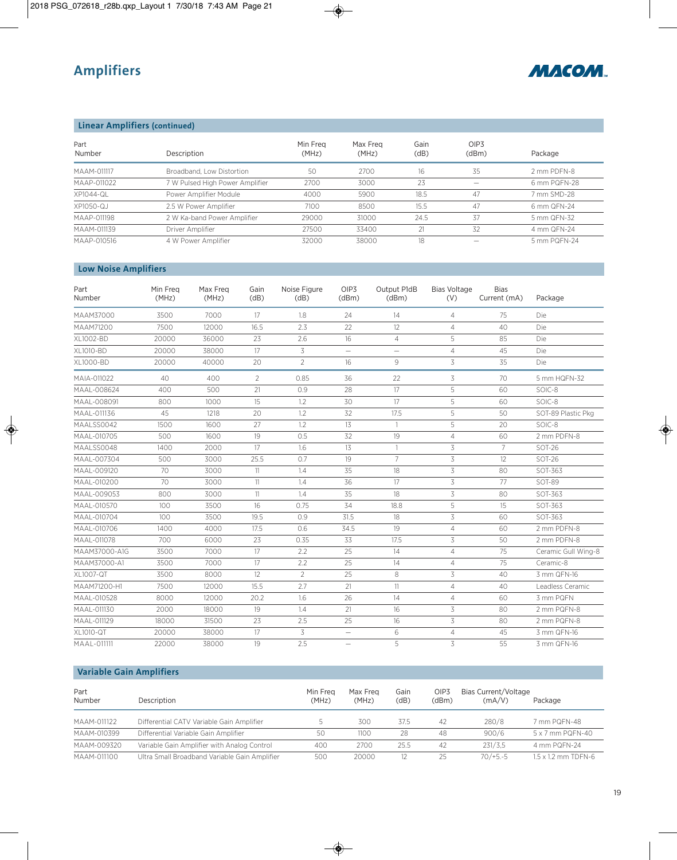

### **Linear Amplifiers (continued)**

| Part<br>Number | Description                     | Min Frea<br>(MHz) | Max Freg<br>(MHz) | Gain<br>(dB) | OIP <sub>3</sub><br>(dBm) | Package      |
|----------------|---------------------------------|-------------------|-------------------|--------------|---------------------------|--------------|
| MAAM-011117    | Broadband, Low Distortion       | 50                | 2700              | 16           | 35                        | 2 mm PDFN-8  |
| MAAP-011022    | 7 W Pulsed High Power Amplifier | 2700              | 3000              | 23           |                           | 6 mm PQFN-28 |
| XP1044-QL      | Power Amplifier Module          | 4000              | 5900              | 18.5         | 47                        | 7 mm SMD-28  |
| XP1050-QJ      | 2.5 W Power Amplifier           | 7100              | 8500              | 15.5         | 47                        | 6 mm QFN-24  |
| MAAP-011198    | 2 W Ka-band Power Amplifier     | 29000             | 31000             | 24.5         | 37                        | 5 mm QFN-32  |
| MAAM-011139    | Driver Amplifier                | 27500             | 33400             |              | 32                        | 4 mm QFN-24  |
| MAAP-010516    | 4 W Power Amplifier             | 32000             | 38000             | 18           |                           | 5 mm PQFN-24 |

## **Low Noise Amplifiers**

| Part<br>Number | Min Freg<br>(MHz) | Max Freg<br>(MHz) | Gain<br>(dB)   | Noise Figure<br>(dB) | OIP3<br>(dBm)            | Output P1dB<br>(dBm) | <b>Bias Voltage</b><br>(V) | <b>Bias</b><br>Current (mA) | Package             |
|----------------|-------------------|-------------------|----------------|----------------------|--------------------------|----------------------|----------------------------|-----------------------------|---------------------|
| MAAM37000      | 3500              | 7000              | 17             | 1.8                  | 24                       | 14                   | $\overline{4}$             | 75                          | Die:                |
| MAAM71200      | 7500              | 12000             | 16.5           | 2.3                  | 22                       | 12                   | $\overline{4}$             | 40                          | Die                 |
| XL1002-BD      | 20000             | 36000             | 23             | 2.6                  | 16                       | $\overline{4}$       | 5                          | 85                          | Die                 |
| XL1010-BD      | 20000             | 38000             | 17             | 3                    | $=$                      | $\equiv$             | $\overline{4}$             | 45                          | Die                 |
| XL1000-BD      | 20000             | 40000             | 20             | $\overline{2}$       | 16                       | 9                    | 3                          | 35                          | Die                 |
| MAIA-011022    | 40                | 400               | $\overline{2}$ | 0.85                 | 36                       | 22                   | 3                          | 70                          | 5 mm HQFN-32        |
| MAAL-008624    | 400               | 500               | 21             | 0.9                  | 28                       | 17                   | 5                          | 60                          | SOIC-8              |
| MAAL-008091    | 800               | 1000              | 15             | 1.2                  | 30                       | 17                   | 5                          | 60                          | SOIC-8              |
| MAAL-011136    | 45                | 1218              | 20             | 1.2                  | 32                       | 17.5                 | 5                          | 50                          | SOT-89 Plastic Pkg  |
| MAALSS0042     | 1500              | 1600              | 27             | 1.2                  | 13                       | $\overline{1}$       | 5                          | 20                          | SOIC-8              |
| MAAL-010705    | 500               | 1600              | 19             | 0.5                  | 32                       | 19                   | $\overline{4}$             | 60                          | 2 mm PDFN-8         |
| MAALSS0048     | 1400              | 2000              | 17             | 1.6                  | 13                       | $\mathbf{1}$         | 3                          | $7\overline{ }$             | <b>SOT-26</b>       |
| MAAL-007304    | 500               | 3000              | 25.5           | 0.7                  | 19                       | $\overline{7}$       | 3                          | 12                          | SOT-26              |
| MAAL-009120    | 70                | 3000              | 11             | 1.4                  | 35                       | 18                   | 3                          | 80                          | SOT-363             |
| MAAL-010200    | 70                | 3000              | 11             | 1.4                  | 36                       | 17                   | 3                          | 77                          | SOT-89              |
| MAAL-009053    | 800               | 3000              | 11             | 1.4                  | 35                       | 18                   | 3                          | 80                          | SOT-363             |
| MAAL-010570    | 100               | 3500              | 16             | 0.75                 | 34                       | 18.8                 | 5                          | 15                          | SOT-363             |
| MAAL-010704    | 100               | 3500              | 19.5           | 0.9                  | 31.5                     | 18                   | 3                          | 60                          | SOT-363             |
| MAAL-010706    | 1400              | 4000              | 17.5           | 0.6                  | 34.5                     | 19                   | $\overline{4}$             | 60                          | 2 mm PDFN-8         |
| MAAL-011078    | 700               | 6000              | 23             | 0.35                 | 33                       | 17.5                 | 3                          | 50                          | 2 mm PDFN-8         |
| MAAM37000-A1G  | 3500              | 7000              | 17             | 2.2                  | 25                       | 14                   | $\overline{4}$             | 75                          | Ceramic Gull Wing-8 |
| MAAM37000-A1   | 3500              | 7000              | 17             | 2.2                  | 25                       | 14                   | $\overline{4}$             | 75                          | Ceramic-8           |
| XL1007-QT      | 3500              | 8000              | 12             | $\overline{2}$       | 25                       | 8                    | 3                          | 40                          | 3 mm QFN-16         |
| MAAM71200-H1   | 7500              | 12000             | 15.5           | 2.7                  | 21                       | 11                   | $\overline{4}$             | 40                          | Leadless Ceramic    |
| MAAL-010528    | 8000              | 12000             | 20.2           | 1.6                  | 26                       | 14                   | $\overline{4}$             | 60                          | 3 mm PQFN           |
| MAAL-011130    | 2000              | 18000             | 19             | 1.4                  | 21                       | 16                   | 3                          | 80                          | 2 mm PQFN-8         |
| MAAL-011129    | 18000             | 31500             | 23             | 2.5                  | 25                       | 16                   | 3                          | 80                          | 2 mm PQFN-8         |
| XL1010-QT      | 20000             | 38000             | 17             | 3                    | $\overline{\phantom{0}}$ | 6                    | $\overline{4}$             | 45                          | 3 mm QFN-16         |
| MAAL-011111    | 22000             | 38000             | 19             | 2.5                  | $\overline{\phantom{0}}$ | 5                    | 3                          | 55                          | 3 mm QFN-16         |

## **Variable Gain Amplifiers**

| Part<br>Number | Description                                   | Min Frea<br>(MHz) | Max Freg<br>(MHz) | Gain<br>(dB) | OIP3<br>(dBm) | Bias Current/Voltage<br>(mA/V) | Package                    |
|----------------|-----------------------------------------------|-------------------|-------------------|--------------|---------------|--------------------------------|----------------------------|
| MAAM-011122    | Differential CATV Variable Gain Amplifier     |                   | 300               | 37.5         | 42            | 280/8                          | 7 mm PQFN-48               |
| MAAM-010399    | Differential Variable Gain Amplifier          | 50                | 1100              | 28           | 48            | 900/6                          | 5 x 7 mm PQFN-40           |
| MAAM-009320    | Variable Gain Amplifier with Analog Control   | 400               | 2700              | 25.5         | 42            | 231/3.5                        | 4 mm PQFN-24               |
| MAAM-011100    | Ultra Small Broadband Variable Gain Amplifier | 500               | 20000             |              | 25            | $70/+5.-5$                     | $1.5 \times 1.2$ mm TDFN-6 |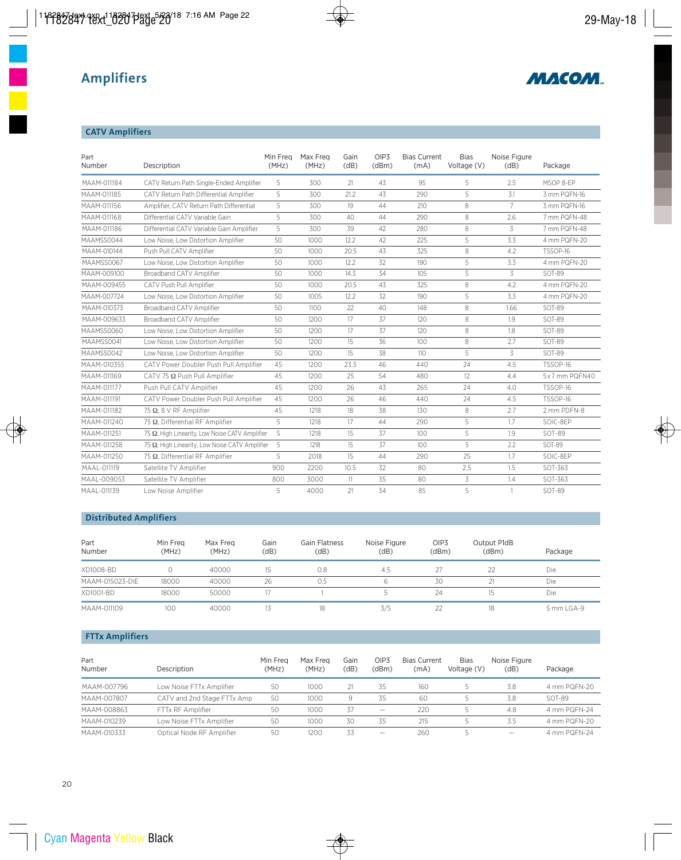

## **CATV Amplifiers**

| Part<br>Number | Description                                    | Min Freg<br>(MHz) | Max Freg<br>(MHz) | Gain<br>(dB) | OIP <sub>3</sub><br>(dBm) | <b>Bias Current</b><br>(mA) | <b>Bias</b><br>Voltage (V) | Noise Figure<br>(dB) | Package         |
|----------------|------------------------------------------------|-------------------|-------------------|--------------|---------------------------|-----------------------------|----------------------------|----------------------|-----------------|
| MAAM-011184    | CATV Return Path Single-Ended Amplifier        | 5                 | 300               | 21           | 43                        | 95                          | 5                          | 2.5                  | MSOP 8-EP       |
| MAAM-011185    | CATV Return Path Differential Amplifier        | 5                 | 300               | 21.2         | 43                        | 290                         | 5                          | 3.1                  | 3 mm PQFN-16    |
| MAAM-011156    | Amplifier, CATV Return Path Differential       | 5                 | 300               | 19           | 44                        | 210                         | 8                          | $\overline{7}$       | 3 mm PQFN-16    |
| MAAM-011168    | Differential CATV Variable Gain                | 5                 | 300               | 40           | 44                        | 290                         | 8                          | 2.6                  | 7 mm PQFN-48    |
| MAAM-011186    | Differential CATV Variable Gain Amplifier      | 5                 | 300               | 39           | 42                        | 280                         | 8                          | 3                    | 7 mm PQFN-48    |
| MAAMSS0044     | Low Noise, Low Distortion Amplifier            | 50                | 1000              | 12.2         | 42                        | 225                         | 5                          | 3.3                  | 4 mm PQFN-20    |
| MAAM-010144    | Push Pull CATV Amplifier                       | 50                | 1000              | 20.5         | 43                        | 325                         | 8                          | 4.2                  | TSSOP-16        |
| MAAMSS0067     | Low Noise, Low Distortion Amplifier            | 50                | 1000              | 12.2         | 32                        | 190                         | 5                          | 3.3                  | 4 mm PQFN-20    |
| MAAM-009100    | Broadband CATV Amplifier                       | 50                | 1000              | 14.3         | 34                        | 105                         | 5                          | 3                    | <b>SOT-89</b>   |
| MAAM-009455    | CATV Push Pull Amplifier                       | 50                | 1000              | 20.5         | 43                        | 325                         | 8                          | 4.2                  | 4 mm PQFN-20    |
| MAAM-007724    | Low Noise, Low Distortion Amplifier            | 50                | 1005              | 12.2         | 32                        | 190                         | 5                          | 3.3                  | 4 mm PQFN-20    |
| MAAM-010373    | Broadband CATV Amplifier                       | 50                | 1100              | 22           | 40                        | 148                         | 8                          | 1.66                 | <b>SOT-89</b>   |
| MAAM-009633    | Broadband CATV Amplifier                       | 50                | 1200              | 17           | 37                        | 120                         | 8                          | 1.9                  | <b>SOT-89</b>   |
| MAAMSS0060     | Low Noise, Low Distortion Amplifier            | 50                | 1200              | 17           | 37                        | 120                         | 8                          | 1.8                  | SOT-89          |
| MAAMSS0041     | Low Noise, Low Distortion Amplifier            | 50                | 1200              | 15           | 36                        | 100                         | 8                          | 2.7                  | <b>SOT-89</b>   |
| MAAMSS0042     | Low Noise, Low Distortion Amplifier            | 50                | 1200              | 15           | 38                        | 110                         | 5                          | 3                    | SOT-89          |
| MAAM-010355    | CATV Power Doubler Push Pull Amplifier         | 45                | 1200              | 23.5         | 46                        | 440                         | 24                         | 4.5                  | <b>TSSOP-16</b> |
| MAAM-011169    | CATV 75 $\Omega$ Push Pull Amplifier           | 45                | 1200              | 25           | 54                        | 480                         | 12                         | 4.4                  | 5x7 mm PQFN40   |
| MAAM-011177    | Push Pull CATV Amplifier                       | 45                | 1200              | 26           | 43                        | 265                         | 24                         | 4.0                  | TSSOP-16        |
| MAAM-011191    | CATV Power Doubler Push Pull Amplifier         | 45                | 1200              | 26           | 46                        | 440                         | 24                         | 4.5                  | TSSOP-16        |
| MAAM-011182    | 75 Ω, 8 V RF Amplifier                         | 45                | 1218              | 18           | 38                        | 130                         | 8                          | 2.7                  | 2 mm PDFN-8     |
| MAAM-011240    | 75 $\Omega$ . Differential RF Amplifier        | 5                 | 1218              | 17           | 44                        | 290                         | 5                          | 1.7                  | SOIC-8FP        |
| MAAM-011251    | 75 Ω, High Linearity, Low Noise CATV Amplifier | 5                 | 1218              | 15           | 37                        | 100                         | 5                          | 1.9                  | SOT-89          |
| MAAM-011258    | 75 Ω. High Linearity. Low Noise CATV Amplifier | 5                 | 1218              | 15           | 37                        | 100 <sup>o</sup>            | 5                          | 2.2                  | SOT-89          |
| MAAM-011250    | 75 $\Omega$ , Differential RF Amplifier        | 5                 | 2018              | 15           | 44                        | 290                         | 25                         | 1.7                  | SOIC-8EP        |
| MAAL-011119    | Satellite TV Amplifier                         | 900               | 2200              | 10.5         | 32                        | 80                          | 2.5                        | 1.5                  | SOT-363         |
| MAAL-009053    | Satellite TV Amplifier                         | 800               | 3000              | 11           | 35                        | 80                          | 3                          | 1.4                  | SOT-363         |
| MAAL-011139    | Low Noise Amplifier                            | 5                 | 4000              | 21           | 34                        | 85                          | 5                          |                      | SOT-89          |

## **Distributed Amplifiers**

| Part<br>Number  | Min Frea<br>(MHz) | Max Freg<br>(MHz) | Gain<br>(dB) | <b>Gain Flatness</b><br>(dB) | Noise Figure<br>(dB) | OIP3<br>(dBm) | Output P1dB<br>(dBm) | Package    |
|-----------------|-------------------|-------------------|--------------|------------------------------|----------------------|---------------|----------------------|------------|
| XD1008-BD       |                   | 40000             | 15.          | 0.8                          | 4.5                  | 27            |                      | Die        |
| MAAM-015023-DIE | 18000             | 40000             | 26           | 0.5                          |                      | 30            |                      | Die        |
| XD1001-BD       | 18000             | 50000             |              |                              |                      | 24            | 15                   | Die        |
| MAAM-011109     | 100               | 40000             | 13           | 18                           | 3/5                  | 22            | 18                   | 5 mm LGA-9 |

### **FTTx Amplifiers**

| Part<br>Number | Description                 | Min Frea<br>(MHz) | Max Freg<br>(MHz) | Gain<br>(dB) | OIP3<br>(dBm)            | <b>Bias Current</b><br>(mA) | <b>Bias</b><br>Voltage (V) | Noise Figure<br>(dB)     | Package      |
|----------------|-----------------------------|-------------------|-------------------|--------------|--------------------------|-----------------------------|----------------------------|--------------------------|--------------|
| MAAM-007796    | Low Noise FTTx Amplifier    | 50                | 1000              |              | 35                       | 160                         |                            | 3.8                      | 4 mm PQFN-20 |
| MAAM-007807    | CATV and 2nd Stage FTTx Amp | 50                | 1000              | 9            | 35                       | 60                          |                            | 3.8                      | SOT-89       |
| MAAM-008863    | FTTx RF Amplifier           | 50                | 1000              | 37           | $\overline{\phantom{0}}$ | 220                         |                            | 4.8                      | 4 mm PQFN-24 |
| MAAM-010239    | Low Noise FTTx Amplifier    | 50                | 1000              | 30           | 35                       | 215                         |                            | 3.5                      | 4 mm PQFN-20 |
| MAAM-010333    | Optical Node RF Amplifier   | 50                | 1200              | 33           | $\overline{\phantom{0}}$ | 260                         |                            | $\overline{\phantom{0}}$ | 4 mm PQFN-24 |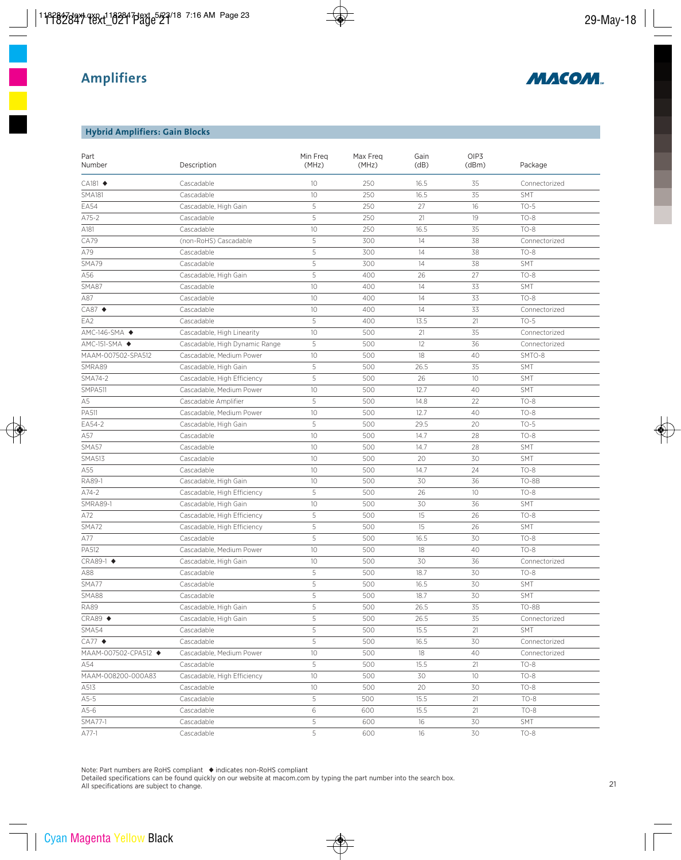

### **Hybrid Amplifiers: Gain Blocks**

| Part<br>Number          | Description                    | Min Freq<br>(MHz) | Max Freq<br>(MHz) | Gain<br>(dB) | OIP3<br>(dBm) | Package       |
|-------------------------|--------------------------------|-------------------|-------------------|--------------|---------------|---------------|
| $CA181$ $\blacklozenge$ | Cascadable                     | 10                | 250               | 16.5         | 35            | Connectorized |
| <b>SMA181</b>           | Cascadable                     | 10                | 250               | 16.5         | 35            | <b>SMT</b>    |
| <b>EA54</b>             | Cascadable, High Gain          | 5                 | 250               | 27           | 16            | $TO-5$        |
| A75-2                   | Cascadable                     | 5                 | 250               | 21           | 19            | $TO-8$        |
| A181                    | Cascadable                     | 10                | 250               | 16.5         | 35            | $TO-8$        |
| CA79                    | (non-RoHS) Cascadable          | 5                 | 300               | 14           | 38            | Connectorized |
| A79                     | Cascadable                     | 5                 | 300               | 14           | 38            | $TO-8$        |
| SMA79                   | Cascadable                     | 5                 | 300               | 14           | 38            | <b>SMT</b>    |
| A56                     | Cascadable, High Gain          | 5                 | 400               | 26           | 27            | $TO-8$        |
| SMA87                   | Cascadable                     | 10                | 400               | 14           | 33            | <b>SMT</b>    |
| A87                     | Cascadable                     | 10                | 400               | 14           | 33            | $TO-8$        |
| $CAB7$ $\triangleleft$  | Cascadable                     | 10                | 400               | 14           | 33            | Connectorized |
| EA2                     | Cascadable                     | 5                 | 400               | 13.5         | 21            | $TO-5$        |
| AMC-146-SMA ◆           | Cascadable, High Linearity     | 10                | 500               | 21           | 35            | Connectorized |
| AMC-151-SMA ◆           | Cascadable, High Dynamic Range | 5                 | 500               | 12           | 36            | Connectorized |
| MAAM-007502-SPA512      | Cascadable, Medium Power       | 10                | 500               | 18           | 40            | SMTO-8        |
| SMRA89                  | Cascadable, High Gain          | 5                 | 500               | 26.5         | 35            | <b>SMT</b>    |
| SMA74-2                 | Cascadable, High Efficiency    | 5                 | 500               | 26           | 10            | <b>SMT</b>    |
| SMPA511                 | Cascadable, Medium Power       | 10                | 500               | 12.7         | 40            | SMT           |
| A <sub>5</sub>          | Cascadable Amplifier           | 5                 | 500               | 14.8         | 22            | $TO-8$        |
| PA511                   | Cascadable, Medium Power       | 10                | 500               | 12.7         | 40            | $TO-8$        |
| EA54-2                  | Cascadable, High Gain          | 5                 | 500               | 29.5         | 20            | $TO-5$        |
| A57                     | Cascadable                     | 10                | 500               | 14.7         | 28            | $TO-8$        |
| SMA57                   | Cascadable                     | 10                | 500               | 14.7         | 28            | <b>SMT</b>    |
| <b>SMA513</b>           | Cascadable                     | 10                | 500               | 20           | 30            | <b>SMT</b>    |
| A55                     | Cascadable                     | 10                | 500               | 14.7         | 24            | $TO-8$        |
| RA89-1                  | Cascadable, High Gain          | 10                | 500               | 30           | 36            | TO-8B         |
| $A74-2$                 | Cascadable, High Efficiency    | 5                 | 500               | 26           | 10            | $TO-8$        |
| <b>SMRA89-1</b>         | Cascadable, High Gain          | 10                | 500               | 30           | 36            | <b>SMT</b>    |
| A72                     | Cascadable, High Efficiency    | 5                 | 500               | 15           | 26            | $TO-8$        |
| SMA72                   | Cascadable, High Efficiency    | 5                 | 500               | 15           | 26            | <b>SMT</b>    |
| A77                     | Cascadable                     | 5                 | 500               | 16.5         | 30            | $TO-8$        |
| PA512                   | Cascadable, Medium Power       | 10                | 500               | 18           | 40            | $TO-8$        |
| CRA89-1 ◆               | Cascadable, High Gain          | 10                | 500               | 30           | 36            | Connectorized |
| A88                     | Cascadable                     | 5                 | 500               | 18.7         | 30            | $TO-8$        |
| SMA77                   | Cascadable                     | 5                 | 500               | 16.5         | 30            | <b>SMT</b>    |
| SMA88                   | Cascadable                     | 5                 | 500               | 18.7         | 30            | SMT           |
| <b>RA89</b>             | Cascadable, High Gain          | 5                 | 500               | 26.5         | 35            | TO-8B         |
| $CRA89$ $\blacklozenge$ | Cascadable, High Gain          | 5                 | 500               | 26.5         | 35            | Connectorized |
| SMA54                   | Cascadable                     | 5                 | 500               | 15.5         | 21            | SMT           |
| $CA77$ $\triangleleft$  | Cascadable                     | 5                 | 500               | 16.5         | 30            | Connectorized |
| MAAM-007502-CPA512 ◆    | Cascadable, Medium Power       | 10                | 500               | 18           | 40            | Connectorized |
| A54                     | Cascadable                     | 5                 | 500               | 15.5         | 21            | $TO-8$        |
| MAAM-008200-000A83      | Cascadable, High Efficiency    | 10                | 500               | 30           | 10            | $TO-8$        |
| A513                    | Cascadable                     | 10                | 500               | 20           | 30            | $TO-8$        |
| $A5-5$                  | Cascadable                     | 5                 | 500               | 15.5         | 21            | $TO-8$        |
| A5-6                    | Cascadable                     | 6                 | 600               | 15.5         | 21            | $TO-8$        |
| SMA77-1                 | Cascadable                     | 5                 | 600               | 16           | 30            | SMT           |
| A77-1                   | Cascadable                     | 5                 | 600               | 16           | 30            | $TO-8$        |

Note: Part numbers are RoHS compliant ◆ indicates non-RoHS compliant

Detailed specifications can be found quickly on our website at macom.com by typing the part number into the search box. All specifications are subject to change.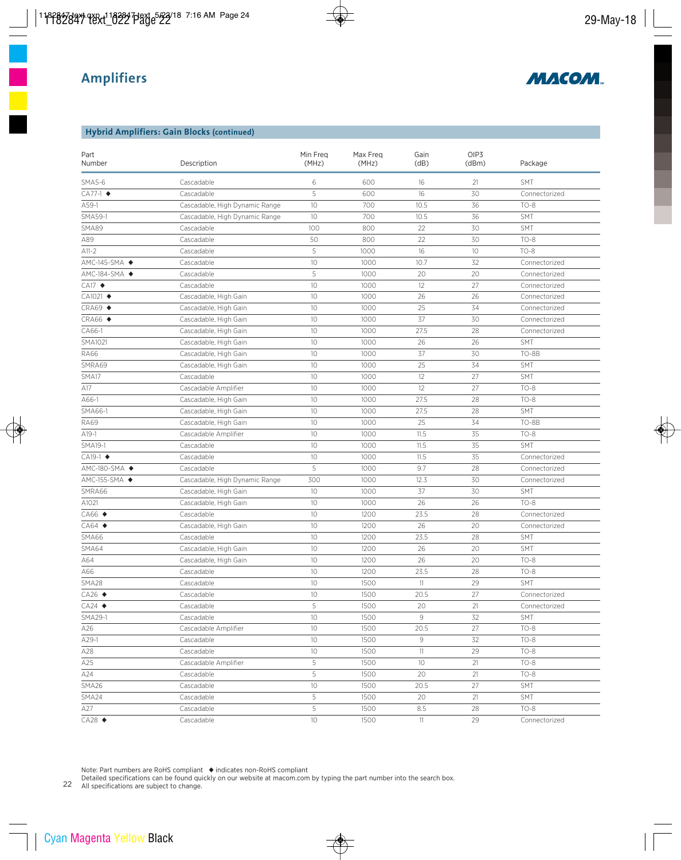

#### **Hybrid Amplifiers: Gain Blocks (continued)**

| Part<br>Number           | Description                    | Min Freq<br>(MHz) | Max Freq<br>(MHz) | Gain<br>(dB) | OIP3<br>(dBm) | Package       |
|--------------------------|--------------------------------|-------------------|-------------------|--------------|---------------|---------------|
| <b>SMA5-6</b>            | Cascadable                     | 6                 | 600               | 16           | 21            | <b>SMT</b>    |
| CA77-1 ◆                 | Cascadable                     | 5                 | 600               | 16           | 30            | Connectorized |
| A59-1                    | Cascadable, High Dynamic Range | 10                | 700               | 10.5         | 36            | $TO-8$        |
| <b>SMA59-1</b>           | Cascadable, High Dynamic Range | 10                | 700               | 10.5         | 36            | <b>SMT</b>    |
| SMA89                    | Cascadable                     | 100               | 800               | 22           | 30            | <b>SMT</b>    |
| A89                      | Cascadable                     | 50                | 800               | 22           | 30            | $TO-8$        |
| $A11-2$                  | Cascadable                     | 5                 | 1000              | 16           | 10            | $TO-8$        |
| AMC-145-SMA ◆            | Cascadable                     | 10                | 1000              | 10.7         | 32            | Connectorized |
| AMC-184-SMA ◆            | Cascadable                     | 5                 | 1000              | 20           | 20            | Connectorized |
| $CA17$ $\blacklozenge$   | Cascadable                     | 10                | 1000              | 12           | 27            | Connectorized |
| CA1021 ◆                 | Cascadable, High Gain          | 10                | 1000              | 26           | 26            | Connectorized |
| $CRA69 \triangleleft$    | Cascadable, High Gain          | 10                | 1000              | 25           | 34            | Connectorized |
| $CRA66 \triangleleft$    | Cascadable, High Gain          | 10                | 1000              | 37           | 30            | Connectorized |
| CA66-1                   | Cascadable, High Gain          | 10                | 1000              | 27.5         | 28            | Connectorized |
| SMA1021                  | Cascadable, High Gain          | 10                | 1000              | 26           | 26            | <b>SMT</b>    |
| <b>RA66</b>              | Cascadable, High Gain          | 10                | 1000              | 37           | 30            | TO-8B         |
| SMRA69                   | Cascadable, High Gain          | 10                | 1000              | 25           | 34            | <b>SMT</b>    |
| SMA17                    | Cascadable                     | 10                | 1000              | 12           | 27            | <b>SMT</b>    |
| A17                      | Cascadable Amplifier           | 10                | 1000              | 12           | 27            | $TO-8$        |
| A66-1                    | Cascadable, High Gain          | 10                | 1000              | 27.5         | 28            | $TO-8$        |
| SMA66-1                  | Cascadable, High Gain          | 10                | 1000              | 27.5         | 28            | SMT           |
| <b>RA69</b>              | Cascadable, High Gain          | 10                | 1000              | 25           | 34            | TO-8B         |
| $A19-1$                  | Cascadable Amplifier           | 10                | 1000              | 11.5         | 35            | $TO-8$        |
| <b>SMA19-1</b>           | Cascadable                     | 10                | 1000              | 11.5         | 35            | <b>SMT</b>    |
| $CA19-1$ $\blacklozenge$ | Cascadable                     | 10                | 1000              | 11.5         | 35            | Connectorized |
| AMC-180-SMA ◆            | Cascadable                     | 5                 | 1000              | 9.7          | 28            | Connectorized |
| AMC-155-SMA ◆            | Cascadable, High Dynamic Range | 300               | 1000              | 12.3         | 30            | Connectorized |
| SMRA66                   | Cascadable, High Gain          | 10                | 1000              | 37           | 30            | <b>SMT</b>    |
| A1021                    | Cascadable, High Gain          | 10                | 1000              | 26           | 26            | $TO-8$        |
| $CA66$ $\blacklozenge$   | Cascadable                     | 10                | 1200              | 23.5         | 28            | Connectorized |
| $CAG4$ $\blacklozenge$   | Cascadable, High Gain          | 10                | 1200              | 26           | 20            | Connectorized |
| SMA66                    | Cascadable                     | 10                | 1200              | 23.5         | 28            | <b>SMT</b>    |
| SMA64                    | Cascadable, High Gain          | 10                | 1200              | 26           | 20            | SMT           |
| A64                      | Cascadable, High Gain          | 10                | 1200              | 26           | 20            | $TO-8$        |
| A66                      | Cascadable                     | 10                | 1200              | 23.5         | 28            | $TO-8$        |
| SMA28                    | Cascadable                     | 10                | 1500              | 11           | 29            | SMT           |
| $CA26$ $\rightarrow$     | Cascadable                     | 10                | 1500              | 20.5         | 27            | Connectorized |
| $CA24$ $\rightarrow$     | Cascadable                     | 5                 | 1500              | 20           | 21            | Connectorized |
| $SMA29-1$                | Cascadable                     | 10                | 1500              | 9            | 32            | <b>SMT</b>    |
| A26                      | Cascadable Amplifier           | 10                | 1500              | 20.5         | 27            | $TO-8$        |
| A29-1                    | Cascadable                     | 10                | 1500              | 9            | 32            | $TO-8$        |
| A28                      | Cascadable                     | 10                | 1500              | 11           | 29            | $TO-8$        |
| A25                      | Cascadable Amplifier           | 5                 | 1500              | 10           | 21            | $TO-8$        |
| A24                      | Cascadable                     | 5                 | 1500              | 20           | 21            | $TO-8$        |
| SMA26                    | Cascadable                     | 10                | 1500              | 20.5         | 27            | <b>SMT</b>    |
| SMA24                    | Cascadable                     | 5                 | 1500              | 20           | 21            | <b>SMT</b>    |
| A27                      | Cascadable                     | 5                 | 1500              | 8.5          | 28            | $TO-8$        |
| $CA28$ $\blacklozenge$   | Cascadable                     | $10\,$            | 1500              | 11           | 29            | Connectorized |

Note: Part numbers are RoHS compliant ◆ indicates non-RoHS compliant

Detailed specifications can be found quickly on our website at macom.com by typing the part number into the search box.

22 All specifications are subject to change.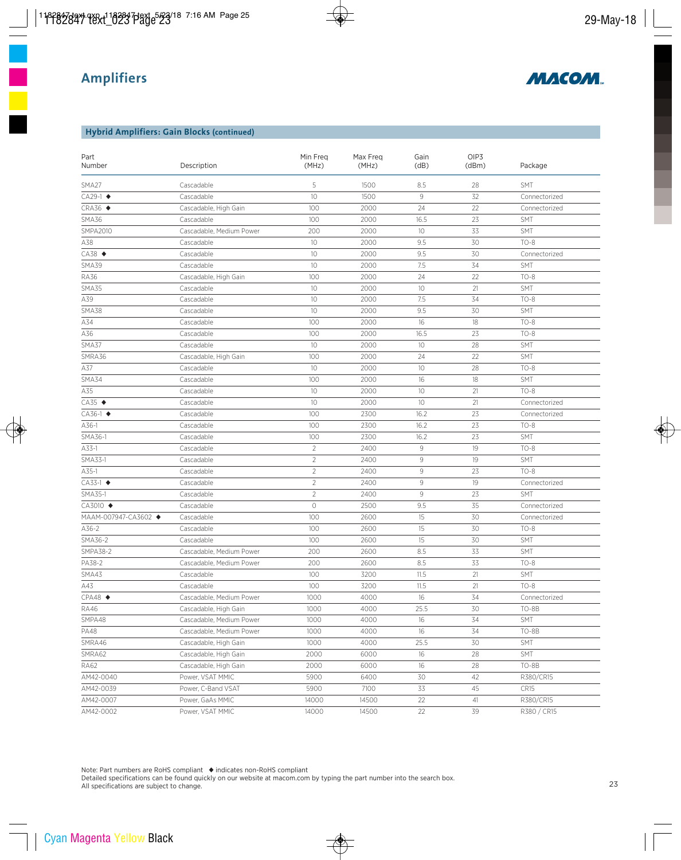

#### **Hybrid Amplifiers: Gain Blocks (continued)**

| Part<br>Number           | Description              | Min Freq<br>(MHz)   | Max Freq<br>(MHz) | Gain<br>(dB) | OIP3<br>(dBm) | Package          |
|--------------------------|--------------------------|---------------------|-------------------|--------------|---------------|------------------|
| SMA27                    | Cascadable               | 5                   | 1500              | 8.5          | 28            | <b>SMT</b>       |
| CA29-1 ◆                 | Cascadable               | 10                  | 1500              | 9            | 32            | Connectorized    |
| $CRA36 \triangleleft$    | Cascadable, High Gain    | 100                 | 2000              | 24           | 22            | Connectorized    |
| SMA36                    | Cascadable               | 100                 | 2000              | 16.5         | 23            | <b>SMT</b>       |
| <b>SMPA2010</b>          | Cascadable, Medium Power | 200                 | 2000              | 10           | 33            | SMT              |
| A38                      | Cascadable               | 10                  | 2000              | 9.5          | 30            | $TO-8$           |
| $CA38$ $\triangleleft$   | Cascadable               | 10                  | 2000              | 9.5          | 30            | Connectorized    |
| SMA39                    | Cascadable               | 10                  | 2000              | 7.5          | 34            | SMT              |
| <b>RA36</b>              | Cascadable, High Gain    | 100                 | 2000              | 24           | 22            | $TO-8$           |
| SMA35                    | Cascadable               | 10                  | 2000              | 10           | 21            | SMT              |
| A39                      | Cascadable               | 10                  | 2000              | 7.5          | 34            | $TO-8$           |
| SMA38                    | Cascadable               | 10                  | 2000              | 9.5          | 30            | SMT              |
| A34                      | Cascadable               | 100                 | 2000              | 16           | 18            | $TO-8$           |
| A36                      | Cascadable               | 100                 | 2000              | 16.5         | 23            | $TO-8$           |
| SMA37                    | Cascadable               | 10                  | 2000              | 10           | 28            | SMT              |
| SMRA36                   | Cascadable, High Gain    | 100                 | 2000              | 24           | 22            | SMT              |
| A37                      | Cascadable               | 10                  | 2000              | 10           | 28            | $TO-8$           |
| SMA34                    | Cascadable               | 100                 | 2000              | 16           | 18            | SMT              |
| A35                      | Cascadable               | 10                  | 2000              | 10           | 21            | $TO-8$           |
| $CA35$ $\triangleleft$   | Cascadable               | 10                  | 2000              | 10           | 21            | Connectorized    |
| CA36-1 ◆                 | Cascadable               | 100                 | 2300              | 16.2         | 23            | Connectorized    |
| A36-1                    | Cascadable               | 100                 | 2300              | 16.2         | 23            | $TO-8$           |
| SMA36-1                  | Cascadable               | 100                 | 2300              | 16.2         | 23            | SMT              |
| A33-1                    | Cascadable               | $\overline{2}$      | 2400              | 9            | 19            | $TO-8$           |
| SMA33-1                  | Cascadable               | $\overline{2}$      | 2400              | 9            | 19            | SMT              |
| A35-1                    | Cascadable               | $\overline{2}$      | 2400              | $\mathcal G$ | 23            | $TO-8$           |
| $CA33-1$ $\blacklozenge$ | Cascadable               | $\overline{c}$      | 2400              | 9            | 19            | Connectorized    |
| SMA35-1                  | Cascadable               | $\overline{c}$      | 2400              | 9            | 23            | <b>SMT</b>       |
| CA3010 ◆                 | Cascadable               | $\circlearrowright$ | 2500              | 9.5          | 35            | Connectorized    |
| MAAM-007947-CA3602 ◆     | Cascadable               | 100                 | 2600              | 15           | 30            | Connectorized    |
| A36-2                    | Cascadable               | 100                 | 2600              | 15           | 30            | $TO-8$           |
| SMA36-2                  | Cascadable               | 100                 | 2600              | 15           | 30            | SMT              |
| <b>SMPA38-2</b>          | Cascadable, Medium Power | 200                 | 2600              | 8.5          | 33            | <b>SMT</b>       |
| PA38-2                   | Cascadable, Medium Power | 200                 | 2600              | 8.5          | 33            | $TO-8$           |
| SMA43                    | Cascadable               | 100                 | 3200              | 11.5         | 21            | SMT              |
| A43                      | Cascadable               | 100                 | 3200              | 11.5         | 21            | $TO-8$           |
| $CPA48$ $\blacklozenge$  | Cascadable, Medium Power | 1000                | 4000              | 16           | 34            | Connectorized    |
| <b>RA46</b>              | Cascadable, High Gain    | 1000                | 4000              | 25.5         | 30            | TO-8B            |
| SMPA48                   | Cascadable, Medium Power | 1000                | 4000              | 16           | 34            | <b>SMT</b>       |
| <b>PA48</b>              | Cascadable, Medium Power | 1000                | 4000              | 16           | 34            | TO-8B            |
| SMRA46                   | Cascadable, High Gain    | 1000                | 4000              | 25.5         | 30            | <b>SMT</b>       |
| SMRA62                   | Cascadable, High Gain    | 2000                | 6000              | 16           | 28            | SMT              |
| RA62                     | Cascadable, High Gain    | 2000                | 6000              | 16           | 28            | TO-8B            |
| AM42-0040                | Power, VSAT MMIC         | 5900                | 6400              | 30           | 42            | R380/CR15        |
| AM42-0039                | Power, C-Band VSAT       | 5900                | 7100              | 33           | 45            | CR <sub>15</sub> |
| AM42-0007                | Power, GaAs MMIC         | 14000               | 14500             | 22           | 41            | R380/CR15        |
| AM42-0002                | Power, VSAT MMIC         | 14000               | 14500             | 22           | 39            | R380 / CR15      |

Note: Part numbers are RoHS compliant ◆ indicates non-RoHS compliant

Detailed specifications can be found quickly on our website at macom.com by typing the part number into the search box. All specifications are subject to change.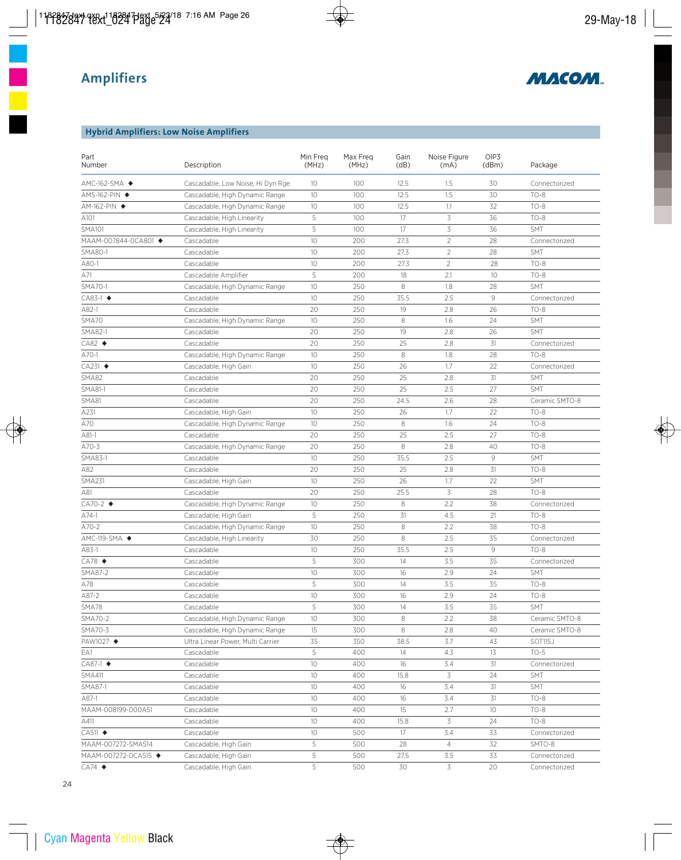

## **Hybrid Amplifiers: Low Noise Amplifiers**

| AMC-162-SMA ◆<br>Cascadable, Low Noise, Hi Dyn Rge<br>100<br>12.5<br>1.5<br>30<br>Connectorized<br>10<br>1.5<br>30<br>Cascadable, High Dynamic Range<br>10<br>100<br>12.5<br>$TO-8$<br>AMS-162-PIN ◆<br>AM-162-PIN ◆<br>Cascadable, High Dynamic Range<br>10<br>100<br>12.5<br>1.1<br>32<br>$TO-8$<br>5<br>3<br>100<br>17<br>36<br>$TO-8$<br>A101<br>Cascadable, High Linearity<br>5<br>3<br><b>SMA101</b><br>100<br>17<br>36<br><b>SMT</b><br>Cascadable, High Linearity<br>10<br>$\overline{2}$<br>MAAM-007844-0CA801 ◆<br>200<br>27.3<br>28<br>Cascadable<br>Connectorized<br>SMA80-1<br>10<br>27.3<br>2<br>Cascadable<br>200<br>28<br>SMT<br>$\overline{2}$<br>A80-1<br>10<br>200<br>27.3<br>28<br>$TO-8$<br>Cascadable<br>5<br>A71<br>Cascadable Amplifier<br>200<br>18<br>2.1<br>10 <sup>°</sup><br>$TO-8$<br>SMA70-1<br>10<br>250<br>1.8<br>SMT<br>Cascadable, High Dynamic Range<br>8<br>28<br>$CAS3-1$ $\blacklozenge$<br>10<br>250<br>35.5<br>2.5<br>9<br>Cascadable<br>Connectorized<br>20<br>A82-1<br>250<br>19<br>2.8<br>26<br>$TO-8$<br>Cascadable<br>1.6<br>24<br>10<br>250<br>8<br>SMT<br>SMA70<br>Cascadable, High Dynamic Range<br>250<br>26<br>SMA82-1<br>20<br>19<br>2.8<br><b>SMT</b><br>Cascadable<br>$CAB2$ $\triangleleft$<br>20<br>250<br>25<br>2.8<br>31<br>Cascadable<br>Connectorized<br>8<br>1.8<br>$A70-1$<br>10<br>250<br>28<br>$TO-8$<br>Cascadable, High Dynamic Range<br>$CA231$ $\rightarrow$<br>10<br>250<br>26<br>1.7<br>22<br>Cascadable, High Gain<br>Connectorized<br>20<br>SMA82<br>250<br>25<br>2.8<br>31<br><b>SMT</b><br>Cascadable<br>SMA81-1<br>20<br>250<br>25<br>2.5<br>27<br>SMT<br>Cascadable<br>SMA81<br>Cascadable<br>20<br>250<br>24.5<br>2.6<br>28<br>Ceramic SMTO-8<br>250<br>A231<br>Cascadable, High Gain<br>10<br>26<br>1.7<br>22<br>$TO-8$<br>A70<br>250<br>8<br>1.6<br>24<br>$TO-8$<br>Cascadable, High Dynamic Range<br>10<br>20<br>250<br>25<br>2.5<br>27<br>$TO-8$<br>A81-1<br>Cascadable<br>8<br>A70-3<br>20<br>250<br>2.8<br>40<br>$TO-8$<br>Cascadable, High Dynamic Range<br>35.5<br>SMA83-1<br>10<br>250<br>2.5<br>9<br>SMT<br>Cascadable<br>250<br>A82<br>20<br>25<br>2.8<br>31<br>$TO-8$<br>Cascadable<br>1.7<br><b>SMA231</b><br>10<br>250<br>26<br>22<br><b>SMT</b><br>Cascadable, High Gain<br>3<br>20<br>250<br>25.5<br>28<br>$TO-8$<br>A81<br>Cascadable<br>$CA70-2$ $\blacklozenge$<br>8<br>10<br>250<br>2.2<br>38<br>Cascadable, High Dynamic Range<br>Connectorized<br>5<br>$A74-1$<br>250<br>31<br>4.5<br>21<br>$TO-8$<br>Cascadable, High Gain<br>$A70-2$<br>250<br>8<br>2.2<br>$TO-8$<br>Cascadable, High Dynamic Range<br>10<br>38<br>8<br>AMC-119-SMA ◆<br>30<br>250<br>2.5<br>35<br>Cascadable, High Linearity<br>Connectorized<br>9<br>A83-1<br>Cascadable<br>10<br>250<br>35.5<br>2.5<br>$TO-8$<br>$CA78$ $\triangleleft$<br>5<br>300<br>14<br>3.5<br>35<br>Cascadable<br>Connectorized<br>SMA87-2<br>10<br>300<br>16<br>2.9<br>24<br>SMT<br>Cascadable<br>5<br>3.5<br>35<br>A78<br>300<br>14<br>$TO-8$<br>Cascadable<br>$TO-8$<br>$A87-2$<br>300<br>2.9<br>24<br>Cascadable<br>$10\,$<br>16<br>5<br>300<br>14<br>3.5<br>35<br>SMA78<br>Cascadable<br><b>SMT</b><br>SMA70-2<br>$10$<br>2.2<br>Cascadable, High Dynamic Range<br>300<br>8<br>38<br>Ceramic SMTO-8<br>SMA70-3<br>8<br>15<br>300<br>2.8<br>40<br>Cascadable, High Dynamic Range<br>Ceramic SMTO-8<br>PAW1027 ◆<br>35<br>350<br>38.5<br>3.7<br>43<br>SOT115J<br>Ultra Linear Power, Multi Carrier<br>5<br>EA1<br>400<br>14<br>4.3<br>13<br>$TO-5$<br>Cascadable<br>$CAB7-1$ $\blacklozenge$<br>10<br>400<br>3.4<br>31<br>Connectorized<br>Cascadable<br>16<br><b>SMA411</b><br>10<br>400<br>3<br>24<br>SMT<br>Cascadable<br>15.8<br>SMA87-1<br>Cascadable<br>10<br>400<br>16<br>3.4<br>31<br>SMT<br>$TO-8$<br>A87-1<br>Cascadable<br>10<br>400<br>16<br>3.4<br>31<br>MAAM-008199-000A51<br>10<br>2.7<br>10<br>Cascadable<br>400<br>15<br>$TO-8$<br>3<br>Cascadable<br>10<br>400<br>15.8<br>24<br>$TO-8$<br>A411<br>3.4<br>10<br>500<br>17<br>33<br>$CA511$ $\blacklozenge$<br>Cascadable<br>Connectorized<br>5<br>Cascadable, High Gain<br>500<br>28<br>$\overline{4}$<br>32<br>SMTO-8<br>MAAM-007272-SMA514<br>5<br>3.5<br>33<br>MAAM-007272-0CA515 ◆<br>Cascadable, High Gain<br>500<br>27.5<br>Connectorized<br>5<br>3<br>$CA74$ $\rightarrow$<br>500<br>30<br>20<br>Cascadable, High Gain<br>Connectorized | Part<br>Number | Description | Min Freq<br>(MHz) | Max Freg<br>(MHz) | Gain<br>(dB) | Noise Figure<br>(mA) | OIP3<br>(dBm) | Package |
|------------------------------------------------------------------------------------------------------------------------------------------------------------------------------------------------------------------------------------------------------------------------------------------------------------------------------------------------------------------------------------------------------------------------------------------------------------------------------------------------------------------------------------------------------------------------------------------------------------------------------------------------------------------------------------------------------------------------------------------------------------------------------------------------------------------------------------------------------------------------------------------------------------------------------------------------------------------------------------------------------------------------------------------------------------------------------------------------------------------------------------------------------------------------------------------------------------------------------------------------------------------------------------------------------------------------------------------------------------------------------------------------------------------------------------------------------------------------------------------------------------------------------------------------------------------------------------------------------------------------------------------------------------------------------------------------------------------------------------------------------------------------------------------------------------------------------------------------------------------------------------------------------------------------------------------------------------------------------------------------------------------------------------------------------------------------------------------------------------------------------------------------------------------------------------------------------------------------------------------------------------------------------------------------------------------------------------------------------------------------------------------------------------------------------------------------------------------------------------------------------------------------------------------------------------------------------------------------------------------------------------------------------------------------------------------------------------------------------------------------------------------------------------------------------------------------------------------------------------------------------------------------------------------------------------------------------------------------------------------------------------------------------------------------------------------------------------------------------------------------------------------------------------------------------------------------------------------------------------------------------------------------------------------------------------------------------------------------------------------------------------------------------------------------------------------------------------------------------------------------------------------------------------------------------------------------------------------------------------------------------------------------------------------------------------------------------------------------------------------------------------------------------------------------------------------------------------------------------------------------------------------------------------------------------------------------------------------------------------------------------------------------------------------------------------------------------------------------------------------------------------------------------------------------------------------------------------------------------------------------------------------------------------------------------------------------------------------------------------------|----------------|-------------|-------------------|-------------------|--------------|----------------------|---------------|---------|
|                                                                                                                                                                                                                                                                                                                                                                                                                                                                                                                                                                                                                                                                                                                                                                                                                                                                                                                                                                                                                                                                                                                                                                                                                                                                                                                                                                                                                                                                                                                                                                                                                                                                                                                                                                                                                                                                                                                                                                                                                                                                                                                                                                                                                                                                                                                                                                                                                                                                                                                                                                                                                                                                                                                                                                                                                                                                                                                                                                                                                                                                                                                                                                                                                                                                                                                                                                                                                                                                                                                                                                                                                                                                                                                                                                                                                                                                                                                                                                                                                                                                                                                                                                                                                                                                                                                                                                  |                |             |                   |                   |              |                      |               |         |
|                                                                                                                                                                                                                                                                                                                                                                                                                                                                                                                                                                                                                                                                                                                                                                                                                                                                                                                                                                                                                                                                                                                                                                                                                                                                                                                                                                                                                                                                                                                                                                                                                                                                                                                                                                                                                                                                                                                                                                                                                                                                                                                                                                                                                                                                                                                                                                                                                                                                                                                                                                                                                                                                                                                                                                                                                                                                                                                                                                                                                                                                                                                                                                                                                                                                                                                                                                                                                                                                                                                                                                                                                                                                                                                                                                                                                                                                                                                                                                                                                                                                                                                                                                                                                                                                                                                                                                  |                |             |                   |                   |              |                      |               |         |
|                                                                                                                                                                                                                                                                                                                                                                                                                                                                                                                                                                                                                                                                                                                                                                                                                                                                                                                                                                                                                                                                                                                                                                                                                                                                                                                                                                                                                                                                                                                                                                                                                                                                                                                                                                                                                                                                                                                                                                                                                                                                                                                                                                                                                                                                                                                                                                                                                                                                                                                                                                                                                                                                                                                                                                                                                                                                                                                                                                                                                                                                                                                                                                                                                                                                                                                                                                                                                                                                                                                                                                                                                                                                                                                                                                                                                                                                                                                                                                                                                                                                                                                                                                                                                                                                                                                                                                  |                |             |                   |                   |              |                      |               |         |
|                                                                                                                                                                                                                                                                                                                                                                                                                                                                                                                                                                                                                                                                                                                                                                                                                                                                                                                                                                                                                                                                                                                                                                                                                                                                                                                                                                                                                                                                                                                                                                                                                                                                                                                                                                                                                                                                                                                                                                                                                                                                                                                                                                                                                                                                                                                                                                                                                                                                                                                                                                                                                                                                                                                                                                                                                                                                                                                                                                                                                                                                                                                                                                                                                                                                                                                                                                                                                                                                                                                                                                                                                                                                                                                                                                                                                                                                                                                                                                                                                                                                                                                                                                                                                                                                                                                                                                  |                |             |                   |                   |              |                      |               |         |
|                                                                                                                                                                                                                                                                                                                                                                                                                                                                                                                                                                                                                                                                                                                                                                                                                                                                                                                                                                                                                                                                                                                                                                                                                                                                                                                                                                                                                                                                                                                                                                                                                                                                                                                                                                                                                                                                                                                                                                                                                                                                                                                                                                                                                                                                                                                                                                                                                                                                                                                                                                                                                                                                                                                                                                                                                                                                                                                                                                                                                                                                                                                                                                                                                                                                                                                                                                                                                                                                                                                                                                                                                                                                                                                                                                                                                                                                                                                                                                                                                                                                                                                                                                                                                                                                                                                                                                  |                |             |                   |                   |              |                      |               |         |
|                                                                                                                                                                                                                                                                                                                                                                                                                                                                                                                                                                                                                                                                                                                                                                                                                                                                                                                                                                                                                                                                                                                                                                                                                                                                                                                                                                                                                                                                                                                                                                                                                                                                                                                                                                                                                                                                                                                                                                                                                                                                                                                                                                                                                                                                                                                                                                                                                                                                                                                                                                                                                                                                                                                                                                                                                                                                                                                                                                                                                                                                                                                                                                                                                                                                                                                                                                                                                                                                                                                                                                                                                                                                                                                                                                                                                                                                                                                                                                                                                                                                                                                                                                                                                                                                                                                                                                  |                |             |                   |                   |              |                      |               |         |
|                                                                                                                                                                                                                                                                                                                                                                                                                                                                                                                                                                                                                                                                                                                                                                                                                                                                                                                                                                                                                                                                                                                                                                                                                                                                                                                                                                                                                                                                                                                                                                                                                                                                                                                                                                                                                                                                                                                                                                                                                                                                                                                                                                                                                                                                                                                                                                                                                                                                                                                                                                                                                                                                                                                                                                                                                                                                                                                                                                                                                                                                                                                                                                                                                                                                                                                                                                                                                                                                                                                                                                                                                                                                                                                                                                                                                                                                                                                                                                                                                                                                                                                                                                                                                                                                                                                                                                  |                |             |                   |                   |              |                      |               |         |
|                                                                                                                                                                                                                                                                                                                                                                                                                                                                                                                                                                                                                                                                                                                                                                                                                                                                                                                                                                                                                                                                                                                                                                                                                                                                                                                                                                                                                                                                                                                                                                                                                                                                                                                                                                                                                                                                                                                                                                                                                                                                                                                                                                                                                                                                                                                                                                                                                                                                                                                                                                                                                                                                                                                                                                                                                                                                                                                                                                                                                                                                                                                                                                                                                                                                                                                                                                                                                                                                                                                                                                                                                                                                                                                                                                                                                                                                                                                                                                                                                                                                                                                                                                                                                                                                                                                                                                  |                |             |                   |                   |              |                      |               |         |
|                                                                                                                                                                                                                                                                                                                                                                                                                                                                                                                                                                                                                                                                                                                                                                                                                                                                                                                                                                                                                                                                                                                                                                                                                                                                                                                                                                                                                                                                                                                                                                                                                                                                                                                                                                                                                                                                                                                                                                                                                                                                                                                                                                                                                                                                                                                                                                                                                                                                                                                                                                                                                                                                                                                                                                                                                                                                                                                                                                                                                                                                                                                                                                                                                                                                                                                                                                                                                                                                                                                                                                                                                                                                                                                                                                                                                                                                                                                                                                                                                                                                                                                                                                                                                                                                                                                                                                  |                |             |                   |                   |              |                      |               |         |
|                                                                                                                                                                                                                                                                                                                                                                                                                                                                                                                                                                                                                                                                                                                                                                                                                                                                                                                                                                                                                                                                                                                                                                                                                                                                                                                                                                                                                                                                                                                                                                                                                                                                                                                                                                                                                                                                                                                                                                                                                                                                                                                                                                                                                                                                                                                                                                                                                                                                                                                                                                                                                                                                                                                                                                                                                                                                                                                                                                                                                                                                                                                                                                                                                                                                                                                                                                                                                                                                                                                                                                                                                                                                                                                                                                                                                                                                                                                                                                                                                                                                                                                                                                                                                                                                                                                                                                  |                |             |                   |                   |              |                      |               |         |
|                                                                                                                                                                                                                                                                                                                                                                                                                                                                                                                                                                                                                                                                                                                                                                                                                                                                                                                                                                                                                                                                                                                                                                                                                                                                                                                                                                                                                                                                                                                                                                                                                                                                                                                                                                                                                                                                                                                                                                                                                                                                                                                                                                                                                                                                                                                                                                                                                                                                                                                                                                                                                                                                                                                                                                                                                                                                                                                                                                                                                                                                                                                                                                                                                                                                                                                                                                                                                                                                                                                                                                                                                                                                                                                                                                                                                                                                                                                                                                                                                                                                                                                                                                                                                                                                                                                                                                  |                |             |                   |                   |              |                      |               |         |
|                                                                                                                                                                                                                                                                                                                                                                                                                                                                                                                                                                                                                                                                                                                                                                                                                                                                                                                                                                                                                                                                                                                                                                                                                                                                                                                                                                                                                                                                                                                                                                                                                                                                                                                                                                                                                                                                                                                                                                                                                                                                                                                                                                                                                                                                                                                                                                                                                                                                                                                                                                                                                                                                                                                                                                                                                                                                                                                                                                                                                                                                                                                                                                                                                                                                                                                                                                                                                                                                                                                                                                                                                                                                                                                                                                                                                                                                                                                                                                                                                                                                                                                                                                                                                                                                                                                                                                  |                |             |                   |                   |              |                      |               |         |
|                                                                                                                                                                                                                                                                                                                                                                                                                                                                                                                                                                                                                                                                                                                                                                                                                                                                                                                                                                                                                                                                                                                                                                                                                                                                                                                                                                                                                                                                                                                                                                                                                                                                                                                                                                                                                                                                                                                                                                                                                                                                                                                                                                                                                                                                                                                                                                                                                                                                                                                                                                                                                                                                                                                                                                                                                                                                                                                                                                                                                                                                                                                                                                                                                                                                                                                                                                                                                                                                                                                                                                                                                                                                                                                                                                                                                                                                                                                                                                                                                                                                                                                                                                                                                                                                                                                                                                  |                |             |                   |                   |              |                      |               |         |
|                                                                                                                                                                                                                                                                                                                                                                                                                                                                                                                                                                                                                                                                                                                                                                                                                                                                                                                                                                                                                                                                                                                                                                                                                                                                                                                                                                                                                                                                                                                                                                                                                                                                                                                                                                                                                                                                                                                                                                                                                                                                                                                                                                                                                                                                                                                                                                                                                                                                                                                                                                                                                                                                                                                                                                                                                                                                                                                                                                                                                                                                                                                                                                                                                                                                                                                                                                                                                                                                                                                                                                                                                                                                                                                                                                                                                                                                                                                                                                                                                                                                                                                                                                                                                                                                                                                                                                  |                |             |                   |                   |              |                      |               |         |
|                                                                                                                                                                                                                                                                                                                                                                                                                                                                                                                                                                                                                                                                                                                                                                                                                                                                                                                                                                                                                                                                                                                                                                                                                                                                                                                                                                                                                                                                                                                                                                                                                                                                                                                                                                                                                                                                                                                                                                                                                                                                                                                                                                                                                                                                                                                                                                                                                                                                                                                                                                                                                                                                                                                                                                                                                                                                                                                                                                                                                                                                                                                                                                                                                                                                                                                                                                                                                                                                                                                                                                                                                                                                                                                                                                                                                                                                                                                                                                                                                                                                                                                                                                                                                                                                                                                                                                  |                |             |                   |                   |              |                      |               |         |
|                                                                                                                                                                                                                                                                                                                                                                                                                                                                                                                                                                                                                                                                                                                                                                                                                                                                                                                                                                                                                                                                                                                                                                                                                                                                                                                                                                                                                                                                                                                                                                                                                                                                                                                                                                                                                                                                                                                                                                                                                                                                                                                                                                                                                                                                                                                                                                                                                                                                                                                                                                                                                                                                                                                                                                                                                                                                                                                                                                                                                                                                                                                                                                                                                                                                                                                                                                                                                                                                                                                                                                                                                                                                                                                                                                                                                                                                                                                                                                                                                                                                                                                                                                                                                                                                                                                                                                  |                |             |                   |                   |              |                      |               |         |
|                                                                                                                                                                                                                                                                                                                                                                                                                                                                                                                                                                                                                                                                                                                                                                                                                                                                                                                                                                                                                                                                                                                                                                                                                                                                                                                                                                                                                                                                                                                                                                                                                                                                                                                                                                                                                                                                                                                                                                                                                                                                                                                                                                                                                                                                                                                                                                                                                                                                                                                                                                                                                                                                                                                                                                                                                                                                                                                                                                                                                                                                                                                                                                                                                                                                                                                                                                                                                                                                                                                                                                                                                                                                                                                                                                                                                                                                                                                                                                                                                                                                                                                                                                                                                                                                                                                                                                  |                |             |                   |                   |              |                      |               |         |
|                                                                                                                                                                                                                                                                                                                                                                                                                                                                                                                                                                                                                                                                                                                                                                                                                                                                                                                                                                                                                                                                                                                                                                                                                                                                                                                                                                                                                                                                                                                                                                                                                                                                                                                                                                                                                                                                                                                                                                                                                                                                                                                                                                                                                                                                                                                                                                                                                                                                                                                                                                                                                                                                                                                                                                                                                                                                                                                                                                                                                                                                                                                                                                                                                                                                                                                                                                                                                                                                                                                                                                                                                                                                                                                                                                                                                                                                                                                                                                                                                                                                                                                                                                                                                                                                                                                                                                  |                |             |                   |                   |              |                      |               |         |
|                                                                                                                                                                                                                                                                                                                                                                                                                                                                                                                                                                                                                                                                                                                                                                                                                                                                                                                                                                                                                                                                                                                                                                                                                                                                                                                                                                                                                                                                                                                                                                                                                                                                                                                                                                                                                                                                                                                                                                                                                                                                                                                                                                                                                                                                                                                                                                                                                                                                                                                                                                                                                                                                                                                                                                                                                                                                                                                                                                                                                                                                                                                                                                                                                                                                                                                                                                                                                                                                                                                                                                                                                                                                                                                                                                                                                                                                                                                                                                                                                                                                                                                                                                                                                                                                                                                                                                  |                |             |                   |                   |              |                      |               |         |
|                                                                                                                                                                                                                                                                                                                                                                                                                                                                                                                                                                                                                                                                                                                                                                                                                                                                                                                                                                                                                                                                                                                                                                                                                                                                                                                                                                                                                                                                                                                                                                                                                                                                                                                                                                                                                                                                                                                                                                                                                                                                                                                                                                                                                                                                                                                                                                                                                                                                                                                                                                                                                                                                                                                                                                                                                                                                                                                                                                                                                                                                                                                                                                                                                                                                                                                                                                                                                                                                                                                                                                                                                                                                                                                                                                                                                                                                                                                                                                                                                                                                                                                                                                                                                                                                                                                                                                  |                |             |                   |                   |              |                      |               |         |
|                                                                                                                                                                                                                                                                                                                                                                                                                                                                                                                                                                                                                                                                                                                                                                                                                                                                                                                                                                                                                                                                                                                                                                                                                                                                                                                                                                                                                                                                                                                                                                                                                                                                                                                                                                                                                                                                                                                                                                                                                                                                                                                                                                                                                                                                                                                                                                                                                                                                                                                                                                                                                                                                                                                                                                                                                                                                                                                                                                                                                                                                                                                                                                                                                                                                                                                                                                                                                                                                                                                                                                                                                                                                                                                                                                                                                                                                                                                                                                                                                                                                                                                                                                                                                                                                                                                                                                  |                |             |                   |                   |              |                      |               |         |
|                                                                                                                                                                                                                                                                                                                                                                                                                                                                                                                                                                                                                                                                                                                                                                                                                                                                                                                                                                                                                                                                                                                                                                                                                                                                                                                                                                                                                                                                                                                                                                                                                                                                                                                                                                                                                                                                                                                                                                                                                                                                                                                                                                                                                                                                                                                                                                                                                                                                                                                                                                                                                                                                                                                                                                                                                                                                                                                                                                                                                                                                                                                                                                                                                                                                                                                                                                                                                                                                                                                                                                                                                                                                                                                                                                                                                                                                                                                                                                                                                                                                                                                                                                                                                                                                                                                                                                  |                |             |                   |                   |              |                      |               |         |
|                                                                                                                                                                                                                                                                                                                                                                                                                                                                                                                                                                                                                                                                                                                                                                                                                                                                                                                                                                                                                                                                                                                                                                                                                                                                                                                                                                                                                                                                                                                                                                                                                                                                                                                                                                                                                                                                                                                                                                                                                                                                                                                                                                                                                                                                                                                                                                                                                                                                                                                                                                                                                                                                                                                                                                                                                                                                                                                                                                                                                                                                                                                                                                                                                                                                                                                                                                                                                                                                                                                                                                                                                                                                                                                                                                                                                                                                                                                                                                                                                                                                                                                                                                                                                                                                                                                                                                  |                |             |                   |                   |              |                      |               |         |
|                                                                                                                                                                                                                                                                                                                                                                                                                                                                                                                                                                                                                                                                                                                                                                                                                                                                                                                                                                                                                                                                                                                                                                                                                                                                                                                                                                                                                                                                                                                                                                                                                                                                                                                                                                                                                                                                                                                                                                                                                                                                                                                                                                                                                                                                                                                                                                                                                                                                                                                                                                                                                                                                                                                                                                                                                                                                                                                                                                                                                                                                                                                                                                                                                                                                                                                                                                                                                                                                                                                                                                                                                                                                                                                                                                                                                                                                                                                                                                                                                                                                                                                                                                                                                                                                                                                                                                  |                |             |                   |                   |              |                      |               |         |
|                                                                                                                                                                                                                                                                                                                                                                                                                                                                                                                                                                                                                                                                                                                                                                                                                                                                                                                                                                                                                                                                                                                                                                                                                                                                                                                                                                                                                                                                                                                                                                                                                                                                                                                                                                                                                                                                                                                                                                                                                                                                                                                                                                                                                                                                                                                                                                                                                                                                                                                                                                                                                                                                                                                                                                                                                                                                                                                                                                                                                                                                                                                                                                                                                                                                                                                                                                                                                                                                                                                                                                                                                                                                                                                                                                                                                                                                                                                                                                                                                                                                                                                                                                                                                                                                                                                                                                  |                |             |                   |                   |              |                      |               |         |
|                                                                                                                                                                                                                                                                                                                                                                                                                                                                                                                                                                                                                                                                                                                                                                                                                                                                                                                                                                                                                                                                                                                                                                                                                                                                                                                                                                                                                                                                                                                                                                                                                                                                                                                                                                                                                                                                                                                                                                                                                                                                                                                                                                                                                                                                                                                                                                                                                                                                                                                                                                                                                                                                                                                                                                                                                                                                                                                                                                                                                                                                                                                                                                                                                                                                                                                                                                                                                                                                                                                                                                                                                                                                                                                                                                                                                                                                                                                                                                                                                                                                                                                                                                                                                                                                                                                                                                  |                |             |                   |                   |              |                      |               |         |
|                                                                                                                                                                                                                                                                                                                                                                                                                                                                                                                                                                                                                                                                                                                                                                                                                                                                                                                                                                                                                                                                                                                                                                                                                                                                                                                                                                                                                                                                                                                                                                                                                                                                                                                                                                                                                                                                                                                                                                                                                                                                                                                                                                                                                                                                                                                                                                                                                                                                                                                                                                                                                                                                                                                                                                                                                                                                                                                                                                                                                                                                                                                                                                                                                                                                                                                                                                                                                                                                                                                                                                                                                                                                                                                                                                                                                                                                                                                                                                                                                                                                                                                                                                                                                                                                                                                                                                  |                |             |                   |                   |              |                      |               |         |
|                                                                                                                                                                                                                                                                                                                                                                                                                                                                                                                                                                                                                                                                                                                                                                                                                                                                                                                                                                                                                                                                                                                                                                                                                                                                                                                                                                                                                                                                                                                                                                                                                                                                                                                                                                                                                                                                                                                                                                                                                                                                                                                                                                                                                                                                                                                                                                                                                                                                                                                                                                                                                                                                                                                                                                                                                                                                                                                                                                                                                                                                                                                                                                                                                                                                                                                                                                                                                                                                                                                                                                                                                                                                                                                                                                                                                                                                                                                                                                                                                                                                                                                                                                                                                                                                                                                                                                  |                |             |                   |                   |              |                      |               |         |
|                                                                                                                                                                                                                                                                                                                                                                                                                                                                                                                                                                                                                                                                                                                                                                                                                                                                                                                                                                                                                                                                                                                                                                                                                                                                                                                                                                                                                                                                                                                                                                                                                                                                                                                                                                                                                                                                                                                                                                                                                                                                                                                                                                                                                                                                                                                                                                                                                                                                                                                                                                                                                                                                                                                                                                                                                                                                                                                                                                                                                                                                                                                                                                                                                                                                                                                                                                                                                                                                                                                                                                                                                                                                                                                                                                                                                                                                                                                                                                                                                                                                                                                                                                                                                                                                                                                                                                  |                |             |                   |                   |              |                      |               |         |
|                                                                                                                                                                                                                                                                                                                                                                                                                                                                                                                                                                                                                                                                                                                                                                                                                                                                                                                                                                                                                                                                                                                                                                                                                                                                                                                                                                                                                                                                                                                                                                                                                                                                                                                                                                                                                                                                                                                                                                                                                                                                                                                                                                                                                                                                                                                                                                                                                                                                                                                                                                                                                                                                                                                                                                                                                                                                                                                                                                                                                                                                                                                                                                                                                                                                                                                                                                                                                                                                                                                                                                                                                                                                                                                                                                                                                                                                                                                                                                                                                                                                                                                                                                                                                                                                                                                                                                  |                |             |                   |                   |              |                      |               |         |
|                                                                                                                                                                                                                                                                                                                                                                                                                                                                                                                                                                                                                                                                                                                                                                                                                                                                                                                                                                                                                                                                                                                                                                                                                                                                                                                                                                                                                                                                                                                                                                                                                                                                                                                                                                                                                                                                                                                                                                                                                                                                                                                                                                                                                                                                                                                                                                                                                                                                                                                                                                                                                                                                                                                                                                                                                                                                                                                                                                                                                                                                                                                                                                                                                                                                                                                                                                                                                                                                                                                                                                                                                                                                                                                                                                                                                                                                                                                                                                                                                                                                                                                                                                                                                                                                                                                                                                  |                |             |                   |                   |              |                      |               |         |
|                                                                                                                                                                                                                                                                                                                                                                                                                                                                                                                                                                                                                                                                                                                                                                                                                                                                                                                                                                                                                                                                                                                                                                                                                                                                                                                                                                                                                                                                                                                                                                                                                                                                                                                                                                                                                                                                                                                                                                                                                                                                                                                                                                                                                                                                                                                                                                                                                                                                                                                                                                                                                                                                                                                                                                                                                                                                                                                                                                                                                                                                                                                                                                                                                                                                                                                                                                                                                                                                                                                                                                                                                                                                                                                                                                                                                                                                                                                                                                                                                                                                                                                                                                                                                                                                                                                                                                  |                |             |                   |                   |              |                      |               |         |
|                                                                                                                                                                                                                                                                                                                                                                                                                                                                                                                                                                                                                                                                                                                                                                                                                                                                                                                                                                                                                                                                                                                                                                                                                                                                                                                                                                                                                                                                                                                                                                                                                                                                                                                                                                                                                                                                                                                                                                                                                                                                                                                                                                                                                                                                                                                                                                                                                                                                                                                                                                                                                                                                                                                                                                                                                                                                                                                                                                                                                                                                                                                                                                                                                                                                                                                                                                                                                                                                                                                                                                                                                                                                                                                                                                                                                                                                                                                                                                                                                                                                                                                                                                                                                                                                                                                                                                  |                |             |                   |                   |              |                      |               |         |
|                                                                                                                                                                                                                                                                                                                                                                                                                                                                                                                                                                                                                                                                                                                                                                                                                                                                                                                                                                                                                                                                                                                                                                                                                                                                                                                                                                                                                                                                                                                                                                                                                                                                                                                                                                                                                                                                                                                                                                                                                                                                                                                                                                                                                                                                                                                                                                                                                                                                                                                                                                                                                                                                                                                                                                                                                                                                                                                                                                                                                                                                                                                                                                                                                                                                                                                                                                                                                                                                                                                                                                                                                                                                                                                                                                                                                                                                                                                                                                                                                                                                                                                                                                                                                                                                                                                                                                  |                |             |                   |                   |              |                      |               |         |
|                                                                                                                                                                                                                                                                                                                                                                                                                                                                                                                                                                                                                                                                                                                                                                                                                                                                                                                                                                                                                                                                                                                                                                                                                                                                                                                                                                                                                                                                                                                                                                                                                                                                                                                                                                                                                                                                                                                                                                                                                                                                                                                                                                                                                                                                                                                                                                                                                                                                                                                                                                                                                                                                                                                                                                                                                                                                                                                                                                                                                                                                                                                                                                                                                                                                                                                                                                                                                                                                                                                                                                                                                                                                                                                                                                                                                                                                                                                                                                                                                                                                                                                                                                                                                                                                                                                                                                  |                |             |                   |                   |              |                      |               |         |
|                                                                                                                                                                                                                                                                                                                                                                                                                                                                                                                                                                                                                                                                                                                                                                                                                                                                                                                                                                                                                                                                                                                                                                                                                                                                                                                                                                                                                                                                                                                                                                                                                                                                                                                                                                                                                                                                                                                                                                                                                                                                                                                                                                                                                                                                                                                                                                                                                                                                                                                                                                                                                                                                                                                                                                                                                                                                                                                                                                                                                                                                                                                                                                                                                                                                                                                                                                                                                                                                                                                                                                                                                                                                                                                                                                                                                                                                                                                                                                                                                                                                                                                                                                                                                                                                                                                                                                  |                |             |                   |                   |              |                      |               |         |
|                                                                                                                                                                                                                                                                                                                                                                                                                                                                                                                                                                                                                                                                                                                                                                                                                                                                                                                                                                                                                                                                                                                                                                                                                                                                                                                                                                                                                                                                                                                                                                                                                                                                                                                                                                                                                                                                                                                                                                                                                                                                                                                                                                                                                                                                                                                                                                                                                                                                                                                                                                                                                                                                                                                                                                                                                                                                                                                                                                                                                                                                                                                                                                                                                                                                                                                                                                                                                                                                                                                                                                                                                                                                                                                                                                                                                                                                                                                                                                                                                                                                                                                                                                                                                                                                                                                                                                  |                |             |                   |                   |              |                      |               |         |
|                                                                                                                                                                                                                                                                                                                                                                                                                                                                                                                                                                                                                                                                                                                                                                                                                                                                                                                                                                                                                                                                                                                                                                                                                                                                                                                                                                                                                                                                                                                                                                                                                                                                                                                                                                                                                                                                                                                                                                                                                                                                                                                                                                                                                                                                                                                                                                                                                                                                                                                                                                                                                                                                                                                                                                                                                                                                                                                                                                                                                                                                                                                                                                                                                                                                                                                                                                                                                                                                                                                                                                                                                                                                                                                                                                                                                                                                                                                                                                                                                                                                                                                                                                                                                                                                                                                                                                  |                |             |                   |                   |              |                      |               |         |
|                                                                                                                                                                                                                                                                                                                                                                                                                                                                                                                                                                                                                                                                                                                                                                                                                                                                                                                                                                                                                                                                                                                                                                                                                                                                                                                                                                                                                                                                                                                                                                                                                                                                                                                                                                                                                                                                                                                                                                                                                                                                                                                                                                                                                                                                                                                                                                                                                                                                                                                                                                                                                                                                                                                                                                                                                                                                                                                                                                                                                                                                                                                                                                                                                                                                                                                                                                                                                                                                                                                                                                                                                                                                                                                                                                                                                                                                                                                                                                                                                                                                                                                                                                                                                                                                                                                                                                  |                |             |                   |                   |              |                      |               |         |
|                                                                                                                                                                                                                                                                                                                                                                                                                                                                                                                                                                                                                                                                                                                                                                                                                                                                                                                                                                                                                                                                                                                                                                                                                                                                                                                                                                                                                                                                                                                                                                                                                                                                                                                                                                                                                                                                                                                                                                                                                                                                                                                                                                                                                                                                                                                                                                                                                                                                                                                                                                                                                                                                                                                                                                                                                                                                                                                                                                                                                                                                                                                                                                                                                                                                                                                                                                                                                                                                                                                                                                                                                                                                                                                                                                                                                                                                                                                                                                                                                                                                                                                                                                                                                                                                                                                                                                  |                |             |                   |                   |              |                      |               |         |
|                                                                                                                                                                                                                                                                                                                                                                                                                                                                                                                                                                                                                                                                                                                                                                                                                                                                                                                                                                                                                                                                                                                                                                                                                                                                                                                                                                                                                                                                                                                                                                                                                                                                                                                                                                                                                                                                                                                                                                                                                                                                                                                                                                                                                                                                                                                                                                                                                                                                                                                                                                                                                                                                                                                                                                                                                                                                                                                                                                                                                                                                                                                                                                                                                                                                                                                                                                                                                                                                                                                                                                                                                                                                                                                                                                                                                                                                                                                                                                                                                                                                                                                                                                                                                                                                                                                                                                  |                |             |                   |                   |              |                      |               |         |
|                                                                                                                                                                                                                                                                                                                                                                                                                                                                                                                                                                                                                                                                                                                                                                                                                                                                                                                                                                                                                                                                                                                                                                                                                                                                                                                                                                                                                                                                                                                                                                                                                                                                                                                                                                                                                                                                                                                                                                                                                                                                                                                                                                                                                                                                                                                                                                                                                                                                                                                                                                                                                                                                                                                                                                                                                                                                                                                                                                                                                                                                                                                                                                                                                                                                                                                                                                                                                                                                                                                                                                                                                                                                                                                                                                                                                                                                                                                                                                                                                                                                                                                                                                                                                                                                                                                                                                  |                |             |                   |                   |              |                      |               |         |
|                                                                                                                                                                                                                                                                                                                                                                                                                                                                                                                                                                                                                                                                                                                                                                                                                                                                                                                                                                                                                                                                                                                                                                                                                                                                                                                                                                                                                                                                                                                                                                                                                                                                                                                                                                                                                                                                                                                                                                                                                                                                                                                                                                                                                                                                                                                                                                                                                                                                                                                                                                                                                                                                                                                                                                                                                                                                                                                                                                                                                                                                                                                                                                                                                                                                                                                                                                                                                                                                                                                                                                                                                                                                                                                                                                                                                                                                                                                                                                                                                                                                                                                                                                                                                                                                                                                                                                  |                |             |                   |                   |              |                      |               |         |
|                                                                                                                                                                                                                                                                                                                                                                                                                                                                                                                                                                                                                                                                                                                                                                                                                                                                                                                                                                                                                                                                                                                                                                                                                                                                                                                                                                                                                                                                                                                                                                                                                                                                                                                                                                                                                                                                                                                                                                                                                                                                                                                                                                                                                                                                                                                                                                                                                                                                                                                                                                                                                                                                                                                                                                                                                                                                                                                                                                                                                                                                                                                                                                                                                                                                                                                                                                                                                                                                                                                                                                                                                                                                                                                                                                                                                                                                                                                                                                                                                                                                                                                                                                                                                                                                                                                                                                  |                |             |                   |                   |              |                      |               |         |
|                                                                                                                                                                                                                                                                                                                                                                                                                                                                                                                                                                                                                                                                                                                                                                                                                                                                                                                                                                                                                                                                                                                                                                                                                                                                                                                                                                                                                                                                                                                                                                                                                                                                                                                                                                                                                                                                                                                                                                                                                                                                                                                                                                                                                                                                                                                                                                                                                                                                                                                                                                                                                                                                                                                                                                                                                                                                                                                                                                                                                                                                                                                                                                                                                                                                                                                                                                                                                                                                                                                                                                                                                                                                                                                                                                                                                                                                                                                                                                                                                                                                                                                                                                                                                                                                                                                                                                  |                |             |                   |                   |              |                      |               |         |
|                                                                                                                                                                                                                                                                                                                                                                                                                                                                                                                                                                                                                                                                                                                                                                                                                                                                                                                                                                                                                                                                                                                                                                                                                                                                                                                                                                                                                                                                                                                                                                                                                                                                                                                                                                                                                                                                                                                                                                                                                                                                                                                                                                                                                                                                                                                                                                                                                                                                                                                                                                                                                                                                                                                                                                                                                                                                                                                                                                                                                                                                                                                                                                                                                                                                                                                                                                                                                                                                                                                                                                                                                                                                                                                                                                                                                                                                                                                                                                                                                                                                                                                                                                                                                                                                                                                                                                  |                |             |                   |                   |              |                      |               |         |
|                                                                                                                                                                                                                                                                                                                                                                                                                                                                                                                                                                                                                                                                                                                                                                                                                                                                                                                                                                                                                                                                                                                                                                                                                                                                                                                                                                                                                                                                                                                                                                                                                                                                                                                                                                                                                                                                                                                                                                                                                                                                                                                                                                                                                                                                                                                                                                                                                                                                                                                                                                                                                                                                                                                                                                                                                                                                                                                                                                                                                                                                                                                                                                                                                                                                                                                                                                                                                                                                                                                                                                                                                                                                                                                                                                                                                                                                                                                                                                                                                                                                                                                                                                                                                                                                                                                                                                  |                |             |                   |                   |              |                      |               |         |
|                                                                                                                                                                                                                                                                                                                                                                                                                                                                                                                                                                                                                                                                                                                                                                                                                                                                                                                                                                                                                                                                                                                                                                                                                                                                                                                                                                                                                                                                                                                                                                                                                                                                                                                                                                                                                                                                                                                                                                                                                                                                                                                                                                                                                                                                                                                                                                                                                                                                                                                                                                                                                                                                                                                                                                                                                                                                                                                                                                                                                                                                                                                                                                                                                                                                                                                                                                                                                                                                                                                                                                                                                                                                                                                                                                                                                                                                                                                                                                                                                                                                                                                                                                                                                                                                                                                                                                  |                |             |                   |                   |              |                      |               |         |
|                                                                                                                                                                                                                                                                                                                                                                                                                                                                                                                                                                                                                                                                                                                                                                                                                                                                                                                                                                                                                                                                                                                                                                                                                                                                                                                                                                                                                                                                                                                                                                                                                                                                                                                                                                                                                                                                                                                                                                                                                                                                                                                                                                                                                                                                                                                                                                                                                                                                                                                                                                                                                                                                                                                                                                                                                                                                                                                                                                                                                                                                                                                                                                                                                                                                                                                                                                                                                                                                                                                                                                                                                                                                                                                                                                                                                                                                                                                                                                                                                                                                                                                                                                                                                                                                                                                                                                  |                |             |                   |                   |              |                      |               |         |
|                                                                                                                                                                                                                                                                                                                                                                                                                                                                                                                                                                                                                                                                                                                                                                                                                                                                                                                                                                                                                                                                                                                                                                                                                                                                                                                                                                                                                                                                                                                                                                                                                                                                                                                                                                                                                                                                                                                                                                                                                                                                                                                                                                                                                                                                                                                                                                                                                                                                                                                                                                                                                                                                                                                                                                                                                                                                                                                                                                                                                                                                                                                                                                                                                                                                                                                                                                                                                                                                                                                                                                                                                                                                                                                                                                                                                                                                                                                                                                                                                                                                                                                                                                                                                                                                                                                                                                  |                |             |                   |                   |              |                      |               |         |
|                                                                                                                                                                                                                                                                                                                                                                                                                                                                                                                                                                                                                                                                                                                                                                                                                                                                                                                                                                                                                                                                                                                                                                                                                                                                                                                                                                                                                                                                                                                                                                                                                                                                                                                                                                                                                                                                                                                                                                                                                                                                                                                                                                                                                                                                                                                                                                                                                                                                                                                                                                                                                                                                                                                                                                                                                                                                                                                                                                                                                                                                                                                                                                                                                                                                                                                                                                                                                                                                                                                                                                                                                                                                                                                                                                                                                                                                                                                                                                                                                                                                                                                                                                                                                                                                                                                                                                  |                |             |                   |                   |              |                      |               |         |
|                                                                                                                                                                                                                                                                                                                                                                                                                                                                                                                                                                                                                                                                                                                                                                                                                                                                                                                                                                                                                                                                                                                                                                                                                                                                                                                                                                                                                                                                                                                                                                                                                                                                                                                                                                                                                                                                                                                                                                                                                                                                                                                                                                                                                                                                                                                                                                                                                                                                                                                                                                                                                                                                                                                                                                                                                                                                                                                                                                                                                                                                                                                                                                                                                                                                                                                                                                                                                                                                                                                                                                                                                                                                                                                                                                                                                                                                                                                                                                                                                                                                                                                                                                                                                                                                                                                                                                  |                |             |                   |                   |              |                      |               |         |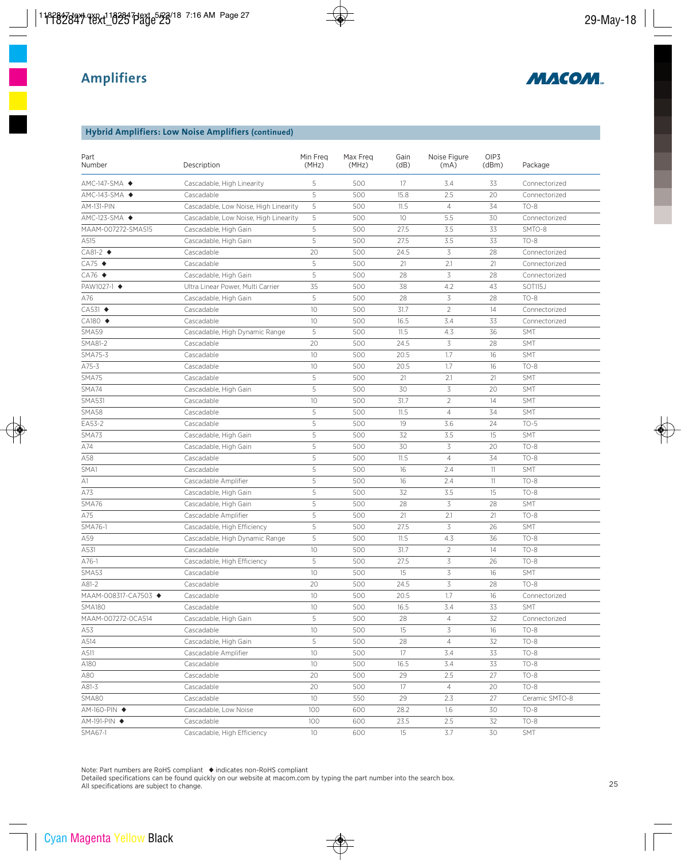

### **Hybrid Amplifiers: Low Noise Amplifiers (continued)**

| Part<br>Number                | Description                           | Min Freq<br>(MHz) | Max Freq<br>(MHz) | Gain<br>(dB) | Noise Figure<br>(mA) | OIP3<br>(dBm) | Package        |
|-------------------------------|---------------------------------------|-------------------|-------------------|--------------|----------------------|---------------|----------------|
| $AMC-147-SMA$                 | Cascadable, High Linearity            | 5                 | 500               | 17           | 3.4                  | 33            | Connectorized  |
| AMC-143-SMA ◆                 | Cascadable                            | 5                 | 500               | 15.8         | 2.5                  | 20            | Connectorized  |
| <b>AM-131-PIN</b>             | Cascadable, Low Noise, High Linearity | 5                 | 500               | 11.5         | $\overline{4}$       | 34            | $TO-8$         |
| $AMC-123-SMA$ $\blacklozenge$ | Cascadable, Low Noise, High Linearity | 5                 | 500               | 10           | 5.5                  | 30            | Connectorized  |
| MAAM-007272-SMA515            | Cascadable, High Gain                 | 5                 | 500               | 27.5         | 3.5                  | 33            | SMTO-8         |
| A515                          | Cascadable, High Gain                 | 5                 | 500               | 27.5         | 3.5                  | 33            | $TO-8$         |
| $CAB1-2$ $\blacklozenge$      | Cascadable                            | 20                | 500               | 24.5         | 3                    | 28            | Connectorized  |
| $CA75$ $\triangleleft$        | Cascadable                            | 5                 | 500               | 21           | 2.1                  | 21            | Connectorized  |
| $CA76$ $\blacklozenge$        | Cascadable, High Gain                 | 5                 | 500               | 28           | 3                    | 28            | Connectorized  |
| PAW1027-1 ◆                   | Ultra Linear Power, Multi Carrier     | 35                | 500               | 38           | 4.2                  | 43            | SOT115J        |
| A76                           | Cascadable, High Gain                 | 5                 | 500               | 28           | 3                    | 28            | $TO-8$         |
| CA531 ◆                       | Cascadable                            | 10                | 500               | 31.7         | $\overline{2}$       | 14            | Connectorized  |
| CA180 ◆                       | Cascadable                            | 10                | 500               | 16.5         | 3.4                  | 33            | Connectorized  |
| SMA59                         | Cascadable, High Dynamic Range        | 5                 | 500               | 11.5         | 4.3                  | 36            | <b>SMT</b>     |
| SMA81-2                       | Cascadable                            | 20                | 500               | 24.5         | 3                    | 28            | <b>SMT</b>     |
| SMA75-3                       | Cascadable                            | 10                | 500               | 20.5         | 1.7                  | 16            | SMT            |
| A75-3                         | Cascadable                            | 10                | 500               | 20.5         | 1.7                  | 16            | $TO-8$         |
| SMA75                         | Cascadable                            | 5                 | 500               | 21           | 2.1                  | 21            | <b>SMT</b>     |
| SMA74                         | Cascadable, High Gain                 | 5                 | 500               | 30           | 3                    | 20            | SMT            |
| <b>SMA531</b>                 | Cascadable                            | 10                | 500               | 31.7         | $\overline{2}$       | 14            | SMT            |
| <b>SMA58</b>                  | Cascadable                            | 5                 | 500               | 11.5         | $\overline{4}$       | 34            | SMT            |
| EA53-2                        | Cascadable                            | 5                 | 500               | 19           | 3.6                  | 24            | $TO-5$         |
| SMA73                         | Cascadable, High Gain                 | 5                 | 500               | 32           | 3.5                  | 15            | <b>SMT</b>     |
| A74                           | Cascadable, High Gain                 | 5                 | 500               | 30           | 3                    | 20            | $TO-8$         |
| A58                           | Cascadable                            | 5                 | 500               | 11.5         | $\overline{4}$       | 34            | $TO-8$         |
| SMA1                          | Cascadable                            | 5                 | 500               | 16           | 2.4                  | 11            | <b>SMT</b>     |
| A1                            | Cascadable Amplifier                  | 5                 | 500               | 16           | 2.4                  | 11            | $TO-8$         |
| A73                           | Cascadable, High Gain                 | 5                 | 500               | 32           | 3.5                  | 15            | $TO-8$         |
| SMA76                         | Cascadable, High Gain                 | 5                 | 500               | 28           | 3                    | 28            | SMT            |
| A75                           | Cascadable Amplifier                  | 5                 | 500               | 21           | 2.1                  | 21            | $TO-8$         |
| SMA76-1                       | Cascadable, High Efficiency           | 5                 | 500               | 27.5         | 3                    | 26            | SMT            |
| A59                           | Cascadable, High Dynamic Range        | 5                 | 500               | 11.5         | 4.3                  | 36            | $TO-8$         |
| A531                          | Cascadable                            | 10                | 500               | 31.7         | $\overline{2}$       | 14            | $TO-8$         |
| $A76-1$                       | Cascadable, High Efficiency           | 5                 | 500               | 27.5         | 3                    | 26            | $TO-8$         |
| SMA53                         | Cascadable                            | 10                | 500               | 15           | 3                    | 16            | <b>SMT</b>     |
| A81-2                         | Cascadable                            | 20                | 500               | 24.5         | 3                    | 28            | $TO-8$         |
| MAAM-008317-CA7503 ◆          | Cascadable                            | 10                | 500               | 20.5         | 1.7                  | 16            | Connectorized  |
| <b>SMA180</b>                 | Cascadable                            | 10                | 500               | 16.5         | 3.4                  | 33            | SMT            |
| MAAM-007272-0CA514            | Cascadable, High Gain                 | 5                 | 500               | 28           | $\overline{4}$       | 32            | Connectorized  |
| A53                           | Cascadable                            | 10                | 500               | 15           | 3                    | 16            | $TO-8$         |
| A514                          | Cascadable, High Gain                 | 5                 | 500               | 28           | $\overline{4}$       | 32            | $TO-8$         |
| A511                          | Cascadable Amplifier                  | 10                | 500               | 17           | 3.4                  | 33            | $TO-8$         |
| A180                          | Cascadable                            | 10                | 500               | 16.5         | 3.4                  | 33            | $TO-8$         |
| A80                           | Cascadable                            | 20                | 500               | 29           | 2.5                  | 27            | $TO-8$         |
| A81-3                         | Cascadable                            | 20                | 500               | 17           | $\overline{4}$       | 20            | $TO-8$         |
| <b>SMA80</b>                  | Cascadable                            | 10                | 550               | 29           | 2.3                  | 27            | Ceramic SMTO-8 |
| AM-160-PIN ◆                  | Cascadable, Low Noise                 | 100               | 600               | 28.2         | 1.6                  | 30            | $TO-8$         |
| AM-191-PIN ◆                  | Cascadable                            | 100               | 600               | 23.5         | 2.5                  | 32            | $TO-8$         |
| SMA67-1                       | Cascadable, High Efficiency           | $10\,$            | 600               | 15           | 3.7                  | 30            | <b>SMT</b>     |

Note: Part numbers are RoHS compliant ◆ indicates non-RoHS compliant

Detailed specifications can be found quickly on our website at macom.com by typing the part number into the search box. All specifications are subject to change.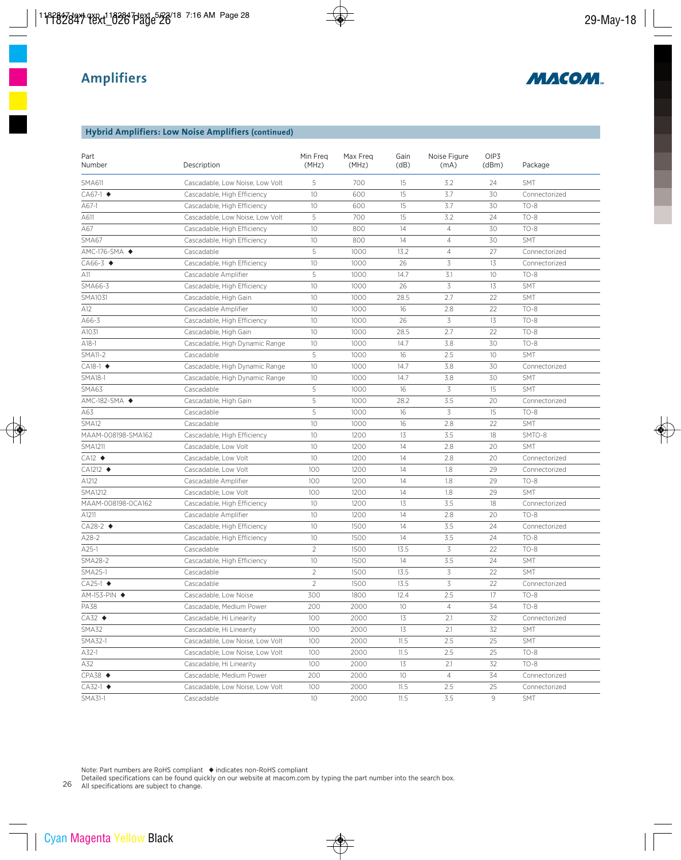

#### **Hybrid Amplifiers: Low Noise Amplifiers (continued)**

| Part<br>Number                | Description                     | Min Freq<br>(MHz) | Max Freq<br>(MHz) | Gain<br>(dB) | Noise Figure<br>(mA) | OIP3<br>(dBm)   | Package       |
|-------------------------------|---------------------------------|-------------------|-------------------|--------------|----------------------|-----------------|---------------|
| <b>SMA611</b>                 | Cascadable, Low Noise, Low Volt | 5                 | 700               | 15           | 3.2                  | 24              | <b>SMT</b>    |
| $CA67-1$ $\blacklozenge$      | Cascadable, High Efficiency     | 10                | 600               | 15           | 3.7                  | 30              | Connectorized |
| A67-1                         | Cascadable, High Efficiency     | 10                | 600               | 15           | 3.7                  | 30              | $TO-8$        |
| A611                          | Cascadable, Low Noise, Low Volt | 5                 | 700               | 15           | 3.2                  | 24              | $TO-8$        |
| A67                           | Cascadable, High Efficiency     | 10                | 800               | 14           | $\overline{4}$       | 30              | $TO-8$        |
| SMA67                         | Cascadable, High Efficiency     | 10                | 800               | 14           | $\overline{4}$       | 30              | <b>SMT</b>    |
| $AMC-176-SMA$ $\blacklozenge$ | Cascadable                      | 5                 | 1000              | 13.2         | $\overline{4}$       | 27              | Connectorized |
| $CA66-3$ $\blacklozenge$      | Cascadable, High Efficiency     | 10                | 1000              | 26           | 3                    | 13              | Connectorized |
| A11                           | Cascadable Amplifier            | 5                 | 1000              | 14.7         | 3.1                  | 10              | $TO-8$        |
| SMA66-3                       | Cascadable, High Efficiency     | 10                | 1000              | 26           | 3                    | 13              | <b>SMT</b>    |
| SMA1031                       | Cascadable, High Gain           | 10                | 1000              | 28.5         | 2.7                  | 22              | <b>SMT</b>    |
| A12                           | Cascadable Amplifier            | 10                | 1000              | 16           | 2.8                  | 22              | $TO-8$        |
| A66-3                         | Cascadable, High Efficiency     | 10                | 1000              | 26           | 3                    | 13              | $TO-8$        |
| A1031                         | Cascadable, High Gain           | 10                | 1000              | 28.5         | 2.7                  | 22              | $TO-8$        |
| $A18-1$                       | Cascadable, High Dynamic Range  | 10                | 1000              | 14.7         | 3.8                  | 30              | $TO-8$        |
| <b>SMA11-2</b>                | Cascadable                      | 5                 | 1000              | 16           | 2.5                  | 10 <sup>°</sup> | <b>SMT</b>    |
| $CA18-1$ $\blacklozenge$      | Cascadable, High Dynamic Range  | 10                | 1000              | 14.7         | 3.8                  | 30              | Connectorized |
| <b>SMA18-1</b>                | Cascadable, High Dynamic Range  | 10                | 1000              | 14.7         | 3.8                  | 30              | <b>SMT</b>    |
| SMA63                         | Cascadable                      | 5                 | 1000              | 16           | 3                    | 15              | <b>SMT</b>    |
| $AMC-182-SMA$ $\blacklozenge$ | Cascadable, High Gain           | 5                 | 1000              | 28.2         | 3.5                  | 20              | Connectorized |
| A63                           | Cascadable                      | 5                 | 1000              | 16           | 3                    | 15              | $TO-8$        |
| SMA12                         | Cascadable                      | 10                | 1000              | 16           | 2.8                  | 22              | <b>SMT</b>    |
| MAAM-008198-SMA162            | Cascadable, High Efficiency     | 10                | 1200              | 13           | 3.5                  | 18              | SMTO-8        |
| <b>SMA1211</b>                | Cascadable, Low Volt            | 10                | 1200              | 14           | 2.8                  | 20              | <b>SMT</b>    |
| $CA12$ $\blacklozenge$        | Cascadable, Low Volt            | 10                | 1200              | 14           | 2.8                  | 20              | Connectorized |
| $CA1212 \rightarrow$          | Cascadable, Low Volt            | 100               | 1200              | 14           | 1.8                  | 29              | Connectorized |
| A1212                         | Cascadable Amplifier            | 100               | 1200              | 14           | 1.8                  | 29              | $TO-8$        |
| <b>SMA1212</b>                | Cascadable, Low Volt            | 100               | 1200              | 14           | 1.8                  | 29              | <b>SMT</b>    |
| MAAM-008198-0CA162            | Cascadable, High Efficiency     | 10                | 1200              | 13           | 3.5                  | 18              | Connectorized |
| A1211                         | Cascadable Amplifier            | 10                | 1200              | 14           | 2.8                  | 20              | $TO-8$        |
| $CA28-2$ $\blacklozenge$      | Cascadable, High Efficiency     | 10                | 1500              | 14           | 3.5                  | 24              | Connectorized |
| $A28-2$                       | Cascadable, High Efficiency     | 10                | 1500              | 14           | 3.5                  | 24              | $TO-8$        |
| $A25-1$                       | Cascadable                      | $\overline{2}$    | 1500              | 13.5         | 3                    | 22              | $TO-8$        |
| <b>SMA28-2</b>                | Cascadable, High Efficiency     | 10                | 1500              | 14           | 3.5                  | 24              | <b>SMT</b>    |
| SMA25-1                       | Cascadable                      | $\overline{2}$    | 1500              | 13.5         | 3                    | 22              | SMT           |
| CA25-1 ◆                      | Cascadable                      | $\overline{2}$    | 1500              | 13.5         | 3                    | 22              | Connectorized |
| AM-153-PIN ◆                  | Cascadable, Low Noise           | 300               | 1800              | 12.4         | 2.5                  | 17              | $TO-8$        |
| PA38                          | Cascadable, Medium Power        | 200               | 2000              | 10           | $\overline{4}$       | 34              | $TO-8$        |
| $CA32$ $\triangleleft$        | Cascadable, Hi Linearity        | 100               | 2000              | 13           | 2.1                  | 32              | Connectorized |
| SMA32                         | Cascadable, Hi Linearity        | 100               | 2000              | 13           | 2.1                  | 32              | <b>SMT</b>    |
| SMA32-1                       | Cascadable, Low Noise, Low Volt | 100               | 2000              | 11.5         | 2.5                  | 25              | <b>SMT</b>    |
| A32-1                         | Cascadable, Low Noise, Low Volt | 100               | 2000              | 11.5         | 2.5                  | 25              | TO-8          |
| A32                           | Cascadable, Hi Linearity        | 100               | 2000              | 13           | 2.1                  | 32              | $TO-8$        |
| $CPA38$ $\blacklozenge$       | Cascadable, Medium Power        | 200               | 2000              | 10           | $\overline{4}$       | 34              | Connectorized |
| $CA32-1$ $\blacklozenge$      | Cascadable, Low Noise, Low Volt | 100               | 2000              | 11.5         | 2.5                  | 25              | Connectorized |
| SMA31-1                       | Cascadable                      | 10                | 2000              | 11.5         | 3.5                  | 9               | <b>SMT</b>    |

Note: Part numbers are RoHS compliant ◆ indicates non-RoHS compliant

Detailed specifications can be found quickly on our website at macom.com by typing the part number into the search box.

26 All specifications are subject to change.